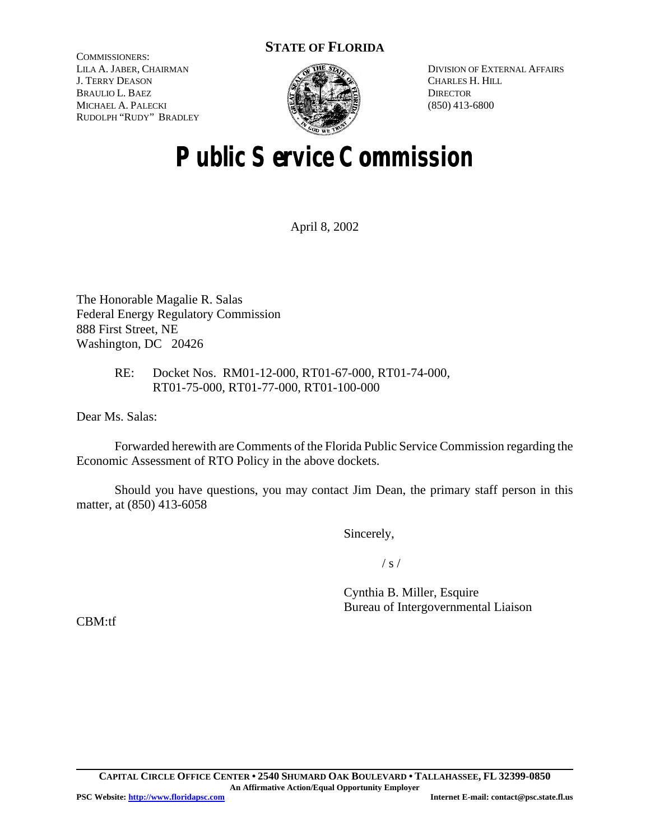## **STATE OF FLORIDA**

COMMISSIONERS: LILA A. JABER, CHAIRMAN J. TERRY DEASON BRAULIO L. BAEZ MICHAEL A. PALECKI RUDOLPH "RUDY" BRADLEY



DIVISION OF EXTERNAL AFFAIRS CHARLES H. HILL **DIRECTOR** (850) 413-6800

# **Public Service Commission**

April 8, 2002

The Honorable Magalie R. Salas Federal Energy Regulatory Commission 888 First Street, NE Washington, DC 20426

### RE: Docket Nos. RM01-12-000, RT01-67-000, RT01-74-000, RT01-75-000, RT01-77-000, RT01-100-000

Dear Ms. Salas:

Forwarded herewith are Comments of the Florida Public Service Commission regarding the Economic Assessment of RTO Policy in the above dockets.

Should you have questions, you may contact Jim Dean, the primary staff person in this matter, at (850) 413-6058

Sincerely,

 $/ s /$ 

Cynthia B. Miller, Esquire Bureau of Intergovernmental Liaison

CBM:tf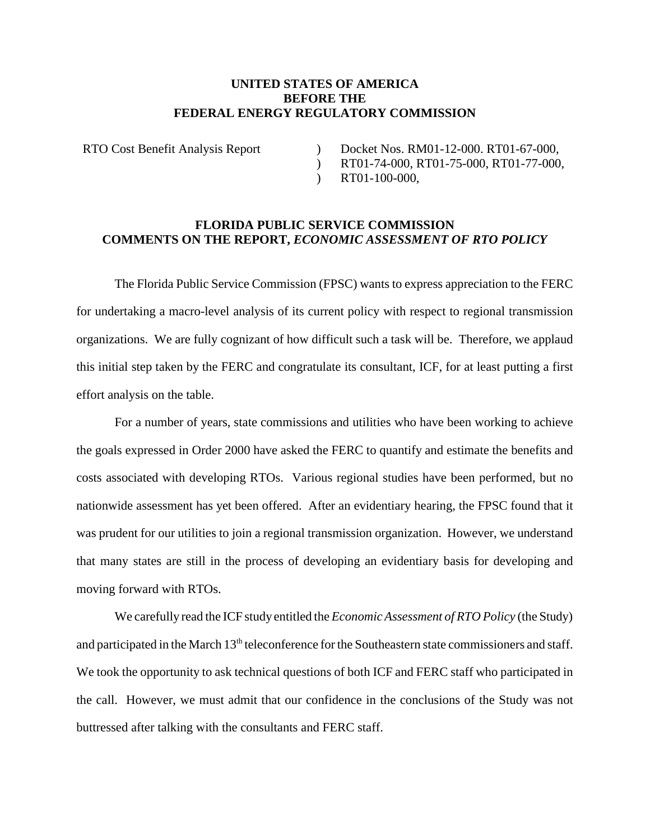#### **UNITED STATES OF AMERICA BEFORE THE FEDERAL ENERGY REGULATORY COMMISSION**

RTO Cost Benefit Analysis Report )

Docket Nos. RM01-12-000. RT01-67-000,

 $\mathcal{L}$ RT01-74-000, RT01-75-000, RT01-77-000,

 $\mathcal{L}$ RT01-100-000,

#### **FLORIDA PUBLIC SERVICE COMMISSION COMMENTS ON THE REPORT,** *ECONOMIC ASSESSMENT OF RTO POLICY*

The Florida Public Service Commission (FPSC) wants to express appreciation to the FERC for undertaking a macro-level analysis of its current policy with respect to regional transmission organizations. We are fully cognizant of how difficult such a task will be. Therefore, we applaud this initial step taken by the FERC and congratulate its consultant, ICF, for at least putting a first effort analysis on the table.

For a number of years, state commissions and utilities who have been working to achieve the goals expressed in Order 2000 have asked the FERC to quantify and estimate the benefits and costs associated with developing RTOs. Various regional studies have been performed, but no nationwide assessment has yet been offered. After an evidentiary hearing, the FPSC found that it was prudent for our utilities to join a regional transmission organization. However, we understand that many states are still in the process of developing an evidentiary basis for developing and moving forward with RTOs.

We carefully read the ICF study entitled the *EconomicAssessment of RTO Policy* (the Study) and participated in the March 13<sup>th</sup> teleconference for the Southeastern state commissioners and staff. We took the opportunity to ask technical questions of both ICF and FERC staff who participated in the call. However, we must admit that our confidence in the conclusions of the Study was not buttressed after talking with the consultants and FERC staff.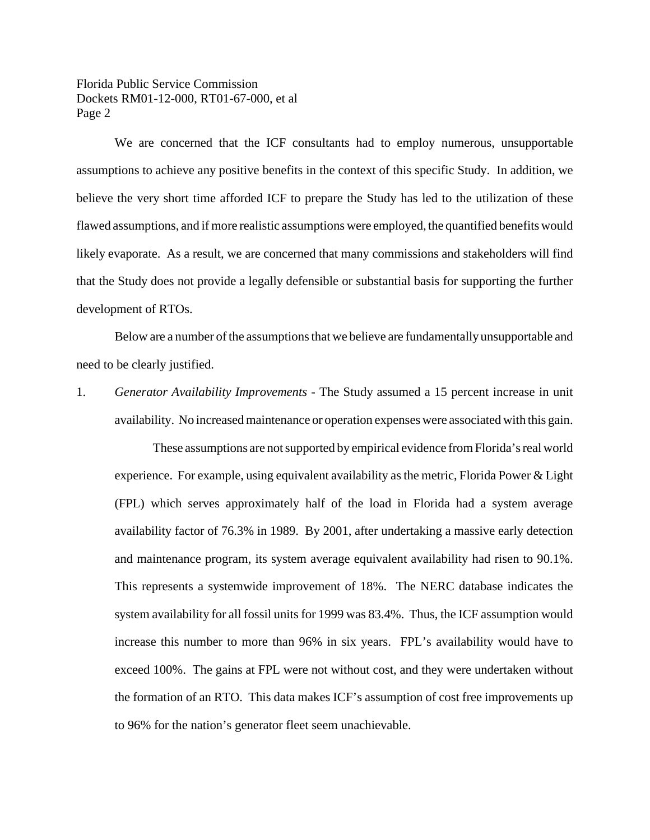Florida Public Service Commission Dockets RM01-12-000, RT01-67-000, et al Page 2

We are concerned that the ICF consultants had to employ numerous, unsupportable assumptions to achieve any positive benefits in the context of this specific Study. In addition, we believe the very short time afforded ICF to prepare the Study has led to the utilization of these flawed assumptions, and if more realistic assumptions were employed, the quantified benefits would likely evaporate. As a result, we are concerned that many commissions and stakeholders will find that the Study does not provide a legally defensible or substantial basis for supporting the further development of RTOs.

Below are a number of the assumptions that we believe are fundamentally unsupportable and need to be clearly justified.

1. *Generator Availability Improvements* - The Study assumed a 15 percent increase in unit availability. No increased maintenance or operation expenses were associated with this gain.

These assumptions are not supported by empirical evidence from Florida's real world experience. For example, using equivalent availability as the metric, Florida Power  $\&$  Light (FPL) which serves approximately half of the load in Florida had a system average availability factor of 76.3% in 1989. By 2001, after undertaking a massive early detection and maintenance program, its system average equivalent availability had risen to 90.1%. This represents a systemwide improvement of 18%. The NERC database indicates the system availability for all fossil units for 1999 was 83.4%. Thus, the ICF assumption would increase this number to more than 96% in six years. FPL's availability would have to exceed 100%. The gains at FPL were not without cost, and they were undertaken without the formation of an RTO. This data makes ICF's assumption of cost free improvements up to 96% for the nation's generator fleet seem unachievable.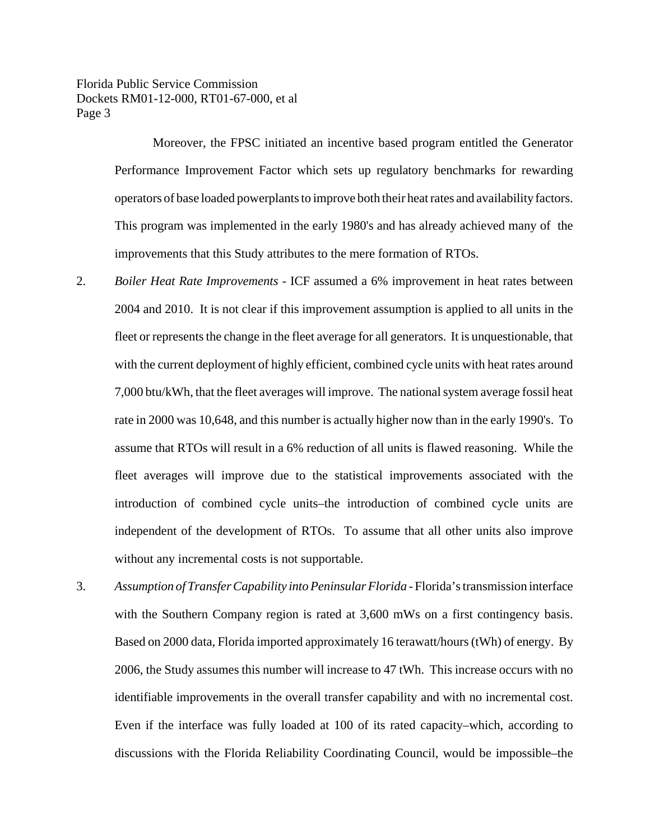Florida Public Service Commission Dockets RM01-12-000, RT01-67-000, et al Page 3

> Moreover, the FPSC initiated an incentive based program entitled the Generator Performance Improvement Factor which sets up regulatory benchmarks for rewarding operators of base loaded powerplants to improve both their heat rates and availability factors. This program was implemented in the early 1980's and has already achieved many of the improvements that this Study attributes to the mere formation of RTOs.

- 2. *Boiler Heat Rate Improvements* ICF assumed a 6% improvement in heat rates between 2004 and 2010. It is not clear if this improvement assumption is applied to all units in the fleet or represents the change in the fleet average for all generators. It is unquestionable, that with the current deployment of highly efficient, combined cycle units with heat rates around 7,000 btu/kWh, that the fleet averages will improve. The national system average fossil heat rate in 2000 was 10,648, and this number is actually higher now than in the early 1990's. To assume that RTOs will result in a 6% reduction of all units is flawed reasoning. While the fleet averages will improve due to the statistical improvements associated with the introduction of combined cycle units–the introduction of combined cycle units are independent of the development of RTOs. To assume that all other units also improve without any incremental costs is not supportable.
- 3. *Assumption of Transfer Capability into Peninsular Florida* Florida'stransmission interface with the Southern Company region is rated at 3,600 mWs on a first contingency basis. Based on 2000 data, Florida imported approximately 16 terawatt/hours (tWh) of energy. By 2006, the Study assumes this number will increase to 47 tWh. This increase occurs with no identifiable improvements in the overall transfer capability and with no incremental cost. Even if the interface was fully loaded at 100 of its rated capacity–which, according to discussions with the Florida Reliability Coordinating Council, would be impossible–the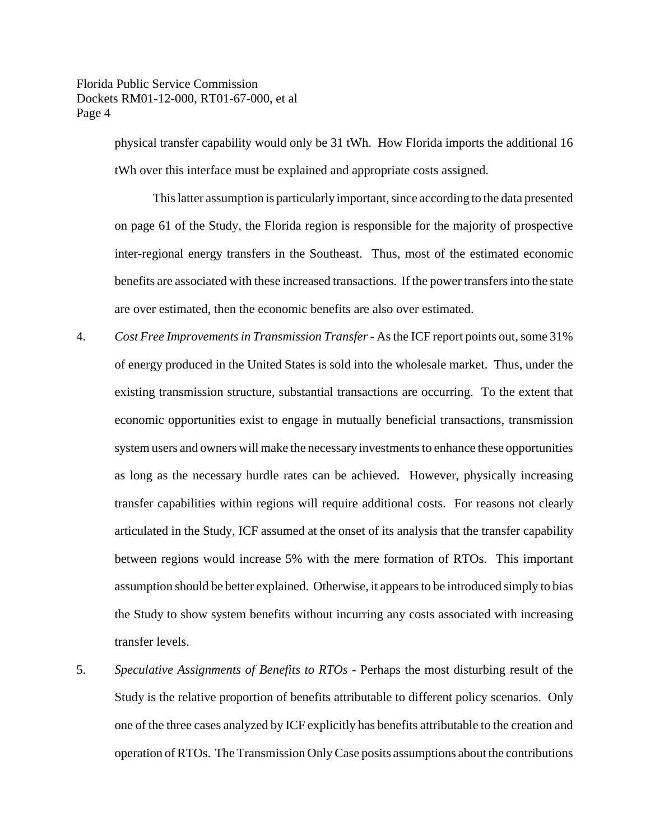physical transfer capability would only be 31 tWh. How Florida imports the additional 16 tWh over this interface must be explained and appropriate costs assigned.

This latter assumption is particularly important, since according to the data presented on page 61 of the Study, the Florida region is responsible for the majority of prospective inter-regional energy transfers in the Southeast. Thus, most of the estimated economic benefits are associated with these increased transactions. If the power transfers into the state are over estimated, then the economic benefits are also over estimated.

- 4. *Cost Free Improvementsin Transmission Transfer* Asthe ICF report points out,some 31% of energy produced in the United States is sold into the wholesale market. Thus, under the existing transmission structure, substantial transactions are occurring. To the extent that economic opportunities exist to engage in mutually beneficial transactions, transmission system users and owners will make the necessary investments to enhance these opportunities as long as the necessary hurdle rates can be achieved. However, physically increasing transfer capabilities within regions will require additional costs. For reasons not clearly articulated in the Study, ICF assumed at the onset of its analysis that the transfer capability between regions would increase 5% with the mere formation of RTOs. This important assumption should be better explained. Otherwise, it appears to be introduced simply to bias the Study to show system benefits without incurring any costs associated with increasing transfer levels.
- 5. *Speculative Assignments of Benefits to RTOs* Perhaps the most disturbing result of the Study is the relative proportion of benefits attributable to different policy scenarios. Only one of the three cases analyzed by ICF explicitly has benefits attributable to the creation and operation ofRTOs. The Transmission Only Case posits assumptions about the contributions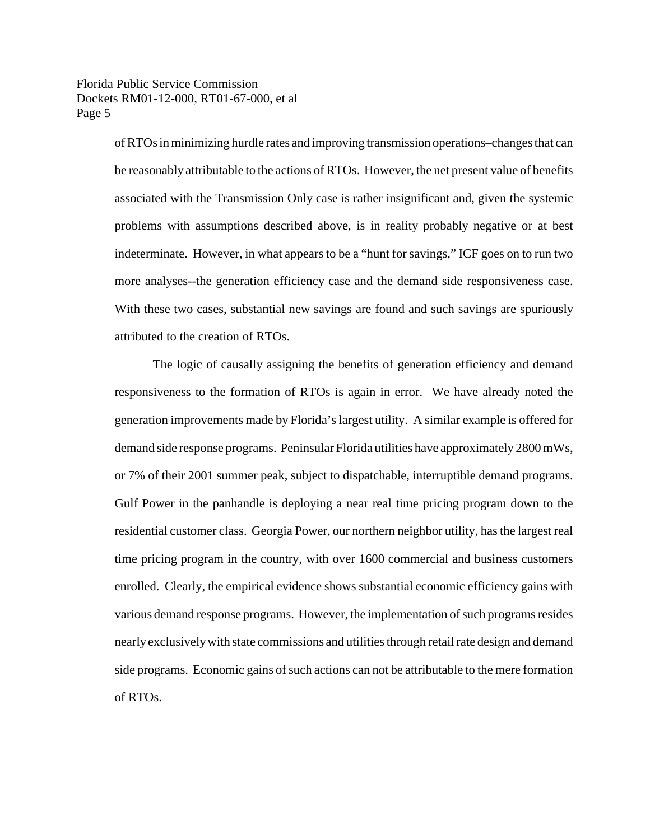Florida Public Service Commission Dockets RM01-12-000, RT01-67-000, et al Page 5

> ofRTOs in minimizing hurdle rates and improving transmission operations–changes that can be reasonably attributable to the actions of RTOs. However, the net present value of benefits associated with the Transmission Only case is rather insignificant and, given the systemic problems with assumptions described above, is in reality probably negative or at best indeterminate. However, in what appears to be a "hunt for savings," ICF goes on to run two more analyses--the generation efficiency case and the demand side responsiveness case. With these two cases, substantial new savings are found and such savings are spuriously attributed to the creation of RTOs.

> The logic of causally assigning the benefits of generation efficiency and demand responsiveness to the formation of RTOs is again in error. We have already noted the generation improvements made by Florida'slargest utility. A similar example is offered for demand side response programs. Peninsular Florida utilities have approximately 2800 mWs, or 7% of their 2001 summer peak, subject to dispatchable, interruptible demand programs. Gulf Power in the panhandle is deploying a near real time pricing program down to the residential customer class. Georgia Power, our northern neighbor utility, has the largest real time pricing program in the country, with over 1600 commercial and business customers enrolled. Clearly, the empirical evidence shows substantial economic efficiency gains with various demand response programs. However, the implementation of such programs resides nearly exclusively with state commissions and utilities through retail rate design and demand side programs. Economic gains of such actions can not be attributable to the mere formation of RTOs.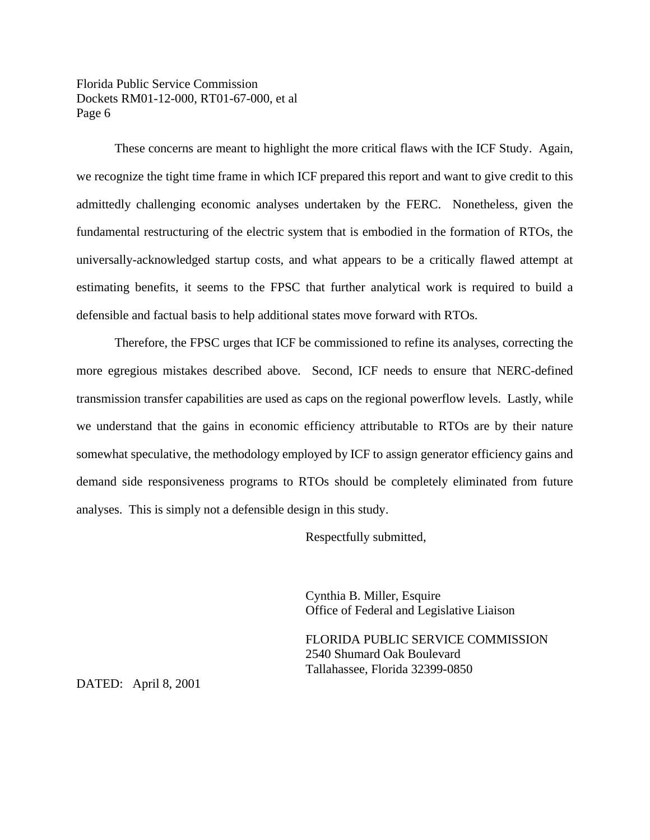Florida Public Service Commission Dockets RM01-12-000, RT01-67-000, et al Page 6

These concerns are meant to highlight the more critical flaws with the ICF Study. Again, we recognize the tight time frame in which ICF prepared this report and want to give credit to this admittedly challenging economic analyses undertaken by the FERC. Nonetheless, given the fundamental restructuring of the electric system that is embodied in the formation of RTOs, the universally-acknowledged startup costs, and what appears to be a critically flawed attempt at estimating benefits, it seems to the FPSC that further analytical work is required to build a defensible and factual basis to help additional states move forward with RTOs.

Therefore, the FPSC urges that ICF be commissioned to refine its analyses, correcting the more egregious mistakes described above. Second, ICF needs to ensure that NERC-defined transmission transfer capabilities are used as caps on the regional powerflow levels. Lastly, while we understand that the gains in economic efficiency attributable to RTOs are by their nature somewhat speculative, the methodology employed by ICF to assign generator efficiency gains and demand side responsiveness programs to RTOs should be completely eliminated from future analyses. This is simply not a defensible design in this study.

Respectfully submitted,

Cynthia B. Miller, Esquire Office of Federal and Legislative Liaison

FLORIDA PUBLIC SERVICE COMMISSION 2540 Shumard Oak Boulevard Tallahassee, Florida 32399-0850

DATED: April 8, 2001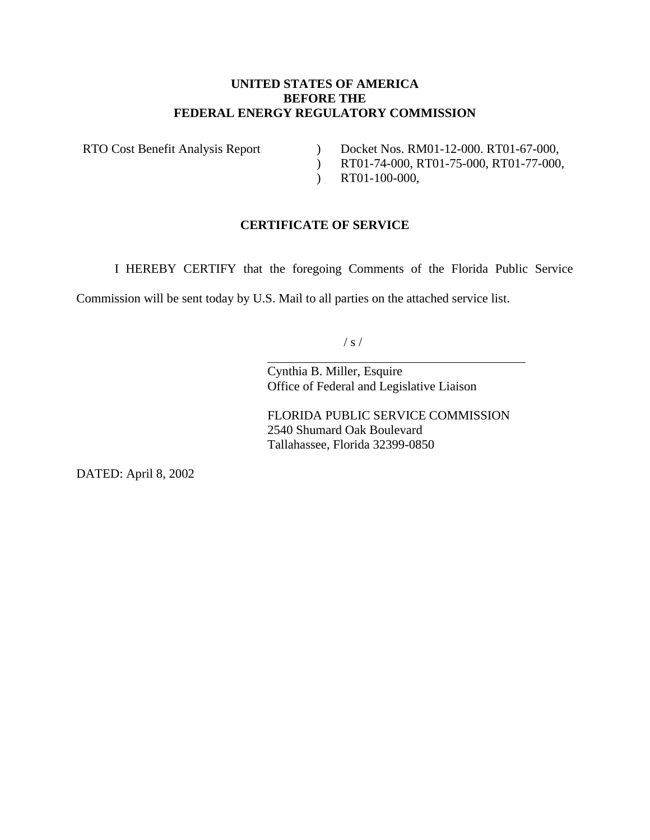### **UNITED STATES OF AMERICA BEFORE THE FEDERAL ENERGY REGULATORY COMMISSION**

RTO Cost Benefit Analysis Report )

- Docket Nos. RM01-12-000. RT01-67-000,
- ) RT01-74-000, RT01-75-000, RT01-77-000,
- ) RT01-100-000,

## **CERTIFICATE OF SERVICE**

I HEREBY CERTIFY that the foregoing Comments of the Florida Public Service

Commission will be sent today by U.S. Mail to all parties on the attached service list.

 $\overline{a}$ 

 $/ s /$ 

Cynthia B. Miller, Esquire Office of Federal and Legislative Liaison

FLORIDA PUBLIC SERVICE COMMISSION 2540 Shumard Oak Boulevard Tallahassee, Florida 32399-0850

DATED: April 8, 2002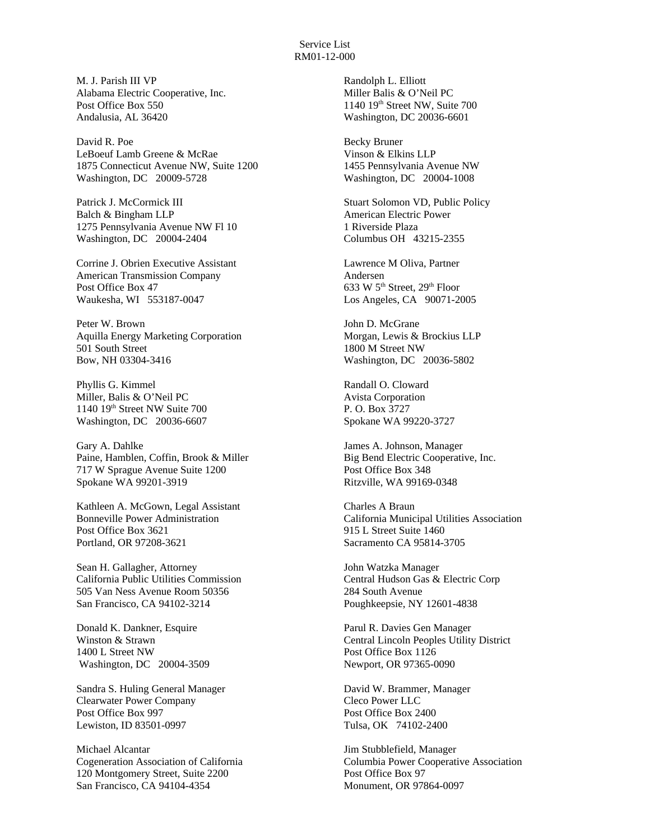M. J. Parish III VP Alabama Electric Cooperative, Inc. Post Office Box 550 Andalusia, AL 36420

David R. Poe LeBoeuf Lamb Greene & McRae 1875 Connecticut Avenue NW, Suite 1200 Washington, DC 20009-5728

Patrick J. McCormick III Balch & Bingham LLP 1275 Pennsylvania Avenue NW Fl 10 Washington, DC 20004-2404

Corrine J. Obrien Executive Assistant American Transmission Company Post Office Box 47 Waukesha, WI 553187-0047

Peter W. Brown Aquilla Energy Marketing Corporation 501 South Street Bow, NH 03304-3416

Phyllis G. Kimmel Miller, Balis & O'Neil PC 1140 19th Street NW Suite 700 Washington, DC 20036-6607

Gary A. Dahlke Paine, Hamblen, Coffin, Brook & Miller 717 W Sprague Avenue Suite 1200 Spokane WA 99201-3919

Kathleen A. McGown, Legal Assistant Bonneville Power Administration Post Office Box 3621 Portland, OR 97208-3621

Sean H. Gallagher, Attorney California Public Utilities Commission 505 Van Ness Avenue Room 50356 San Francisco, CA 94102-3214

Donald K. Dankner, Esquire Winston & Strawn 1400 L Street NW Washington, DC 20004-3509

Sandra S. Huling General Manager Clearwater Power Company Post Office Box 997 Lewiston, ID 83501-0997

Michael Alcantar Cogeneration Association of California 120 Montgomery Street, Suite 2200 San Francisco, CA 94104-4354

Randolph L. Elliott Miller Balis & O'Neil PC 1140 19th Street NW, Suite 700 Washington, DC 20036-6601

Becky Bruner Vinson & Elkins LLP 1455 Pennsylvania Avenue NW Washington, DC 20004-1008

Stuart Solomon VD, Public Policy American Electric Power 1 Riverside Plaza Columbus OH 43215-2355

Lawrence M Oliva, Partner Andersen 633 W  $5<sup>th</sup>$  Street,  $29<sup>th</sup>$  Floor Los Angeles, CA 90071-2005

John D. McGrane Morgan, Lewis & Brockius LLP 1800 M Street NW Washington, DC 20036-5802

Randall O. Cloward Avista Corporation P. O. Box 3727 Spokane WA 99220-3727

James A. Johnson, Manager Big Bend Electric Cooperative, Inc. Post Office Box 348 Ritzville, WA 99169-0348

Charles A Braun California Municipal Utilities Association 915 L Street Suite 1460 Sacramento CA 95814-3705

John Watzka Manager Central Hudson Gas & Electric Corp 284 South Avenue Poughkeepsie, NY 12601-4838

Parul R. Davies Gen Manager Central Lincoln Peoples Utility District Post Office Box 1126 Newport, OR 97365-0090

David W. Brammer, Manager Cleco Power LLC Post Office Box 2400 Tulsa, OK 74102-2400

Jim Stubblefield, Manager Columbia Power Cooperative Association Post Office Box 97 Monument, OR 97864-0097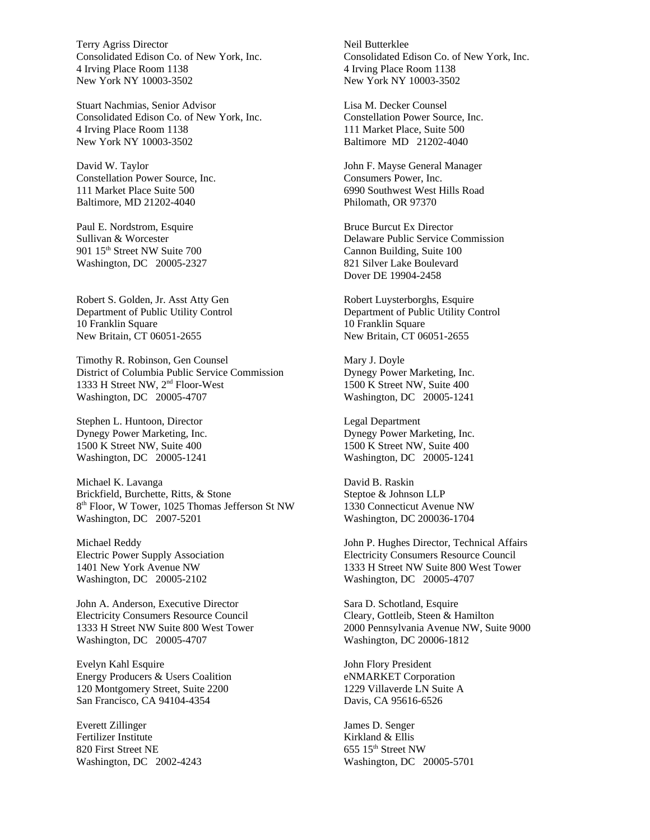Terry Agriss Director Consolidated Edison Co. of New York, Inc. 4 Irving Place Room 1138 New York NY 10003-3502

Stuart Nachmias, Senior Advisor Consolidated Edison Co. of New York, Inc. 4 Irving Place Room 1138 New York NY 10003-3502

David W. Taylor Constellation Power Source, Inc. 111 Market Place Suite 500 Baltimore, MD 21202-4040

Paul E. Nordstrom, Esquire Sullivan & Worcester 901 15<sup>th</sup> Street NW Suite 700 Washington, DC 20005-2327

Robert S. Golden, Jr. Asst Atty Gen Department of Public Utility Control 10 Franklin Square New Britain, CT 06051-2655

Timothy R. Robinson, Gen Counsel District of Columbia Public Service Commission 1333 H Street NW, 2nd Floor-West Washington, DC 20005-4707

Stephen L. Huntoon, Director Dynegy Power Marketing, Inc. 1500 K Street NW, Suite 400 Washington, DC 20005-1241

Michael K. Lavanga Brickfield, Burchette, Ritts, & Stone 8 th Floor, W Tower, 1025 Thomas Jefferson St NW Washington, DC 2007-5201

Michael Reddy Electric Power Supply Association 1401 New York Avenue NW Washington, DC 20005-2102

John A. Anderson, Executive Director Electricity Consumers Resource Council 1333 H Street NW Suite 800 West Tower Washington, DC 20005-4707

Evelyn Kahl Esquire Energy Producers & Users Coalition 120 Montgomery Street, Suite 2200 San Francisco, CA 94104-4354

Everett Zillinger Fertilizer Institute 820 First Street NE Washington, DC 2002-4243 Neil Butterklee Consolidated Edison Co. of New York, Inc. 4 Irving Place Room 1138 New York NY 10003-3502

Lisa M. Decker Counsel Constellation Power Source, Inc. 111 Market Place, Suite 500 Baltimore MD 21202-4040

John F. Mayse General Manager Consumers Power, Inc. 6990 Southwest West Hills Road Philomath, OR 97370

Bruce Burcut Ex Director Delaware Public Service Commission Cannon Building, Suite 100 821 Silver Lake Boulevard Dover DE 19904-2458

Robert Luysterborghs, Esquire Department of Public Utility Control 10 Franklin Square New Britain, CT 06051-2655

Mary J. Doyle Dynegy Power Marketing, Inc. 1500 K Street NW, Suite 400 Washington, DC 20005-1241

Legal Department Dynegy Power Marketing, Inc. 1500 K Street NW, Suite 400 Washington, DC 20005-1241

David B. Raskin Steptoe & Johnson LLP 1330 Connecticut Avenue NW Washington, DC 200036-1704

John P. Hughes Director, Technical Affairs Electricity Consumers Resource Council 1333 H Street NW Suite 800 West Tower Washington, DC 20005-4707

Sara D. Schotland, Esquire Cleary, Gottleib, Steen & Hamilton 2000 Pennsylvania Avenue NW, Suite 9000 Washington, DC 20006-1812

John Flory President eNMARKET Corporation 1229 Villaverde LN Suite A Davis, CA 95616-6526

James D. Senger Kirkland & Ellis 655 15th Street NW Washington, DC 20005-5701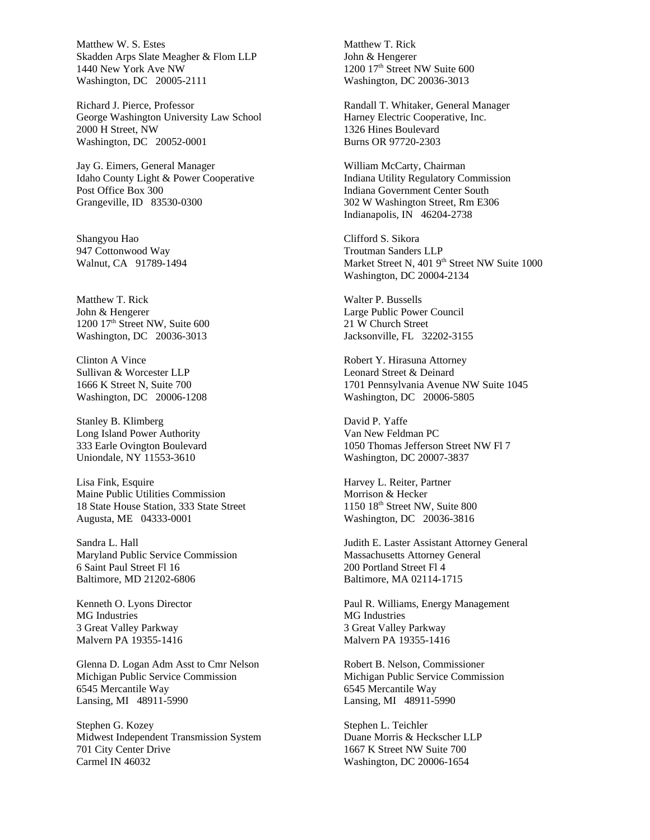Matthew W. S. Estes Skadden Arps Slate Meagher & Flom LLP 1440 New York Ave NW Washington, DC 20005-2111

Richard J. Pierce, Professor George Washington University Law School 2000 H Street, NW Washington, DC 20052-0001

Jay G. Eimers, General Manager Idaho County Light & Power Cooperative Post Office Box 300 Grangeville, ID 83530-0300

Shangyou Hao 947 Cottonwood Way Walnut, CA 91789-1494

Matthew T. Rick John & Hengerer 1200 17<sup>th</sup> Street NW, Suite 600 Washington, DC 20036-3013

Clinton A Vince Sullivan & Worcester LLP 1666 K Street N, Suite 700 Washington, DC 20006-1208

Stanley B. Klimberg Long Island Power Authority 333 Earle Ovington Boulevard Uniondale, NY 11553-3610

Lisa Fink, Esquire Maine Public Utilities Commission 18 State House Station, 333 State Street Augusta, ME 04333-0001

Sandra L. Hall Maryland Public Service Commission 6 Saint Paul Street Fl 16 Baltimore, MD 21202-6806

Kenneth O. Lyons Director MG Industries 3 Great Valley Parkway Malvern PA 19355-1416

Glenna D. Logan Adm Asst to Cmr Nelson Michigan Public Service Commission 6545 Mercantile Way Lansing, MI 48911-5990

Stephen G. Kozey Midwest Independent Transmission System 701 City Center Drive Carmel IN 46032

Matthew T. Rick John & Hengerer 1200 17<sup>th</sup> Street NW Suite 600 Washington, DC 20036-3013

Randall T. Whitaker, General Manager Harney Electric Cooperative, Inc. 1326 Hines Boulevard Burns OR 97720-2303

William McCarty, Chairman Indiana Utility Regulatory Commission Indiana Government Center South 302 W Washington Street, Rm E306 Indianapolis, IN 46204-2738

Clifford S. Sikora Troutman Sanders LLP Market Street N, 401 9<sup>th</sup> Street NW Suite 1000 Washington, DC 20004-2134

Walter P. Bussells Large Public Power Council 21 W Church Street Jacksonville, FL 32202-3155

Robert Y. Hirasuna Attorney Leonard Street & Deinard 1701 Pennsylvania Avenue NW Suite 1045 Washington, DC 20006-5805

David P. Yaffe Van New Feldman PC 1050 Thomas Jefferson Street NW Fl 7 Washington, DC 20007-3837

Harvey L. Reiter, Partner Morrison & Hecker 1150 18th Street NW, Suite 800 Washington, DC 20036-3816

Judith E. Laster Assistant Attorney General Massachusetts Attorney General 200 Portland Street Fl 4 Baltimore, MA 02114-1715

Paul R. Williams, Energy Management MG Industries 3 Great Valley Parkway Malvern PA 19355-1416

Robert B. Nelson, Commissioner Michigan Public Service Commission 6545 Mercantile Way Lansing, MI 48911-5990

Stephen L. Teichler Duane Morris & Heckscher LLP 1667 K Street NW Suite 700 Washington, DC 20006-1654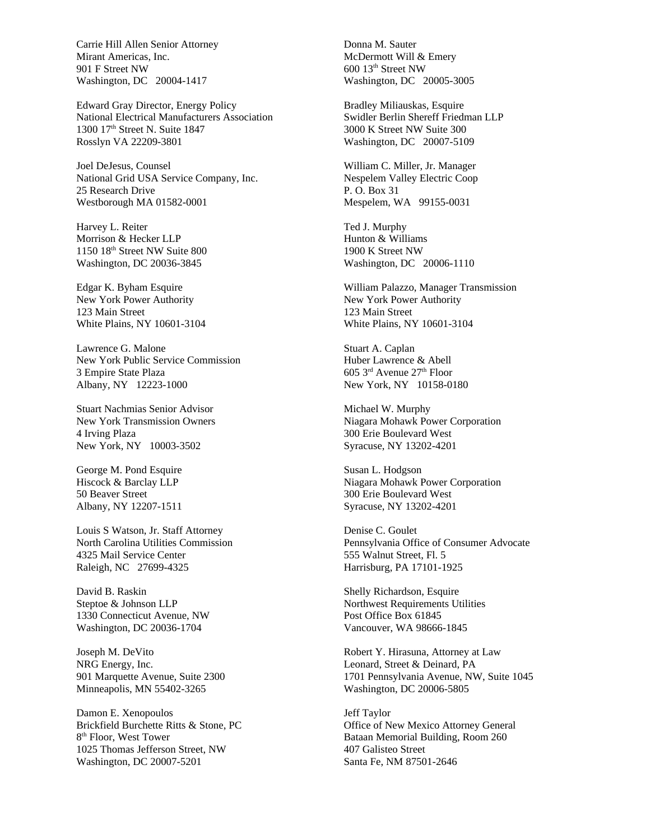Carrie Hill Allen Senior Attorney Mirant Americas, Inc. 901 F Street NW Washington, DC 20004-1417

Edward Gray Director, Energy Policy National Electrical Manufacturers Association 1300 17<sup>th</sup> Street N. Suite 1847 Rosslyn VA 22209-3801

Joel DeJesus, Counsel National Grid USA Service Company, Inc. 25 Research Drive Westborough MA 01582-0001

Harvey L. Reiter Morrison & Hecker LLP 1150 18th Street NW Suite 800 Washington, DC 20036-3845

Edgar K. Byham Esquire New York Power Authority 123 Main Street White Plains, NY 10601-3104

Lawrence G. Malone New York Public Service Commission 3 Empire State Plaza Albany, NY 12223-1000

Stuart Nachmias Senior Advisor New York Transmission Owners 4 Irving Plaza New York, NY 10003-3502

George M. Pond Esquire Hiscock & Barclay LLP 50 Beaver Street Albany, NY 12207-1511

Louis S Watson, Jr. Staff Attorney North Carolina Utilities Commission 4325 Mail Service Center Raleigh, NC 27699-4325

David B. Raskin Steptoe & Johnson LLP 1330 Connecticut Avenue, NW Washington, DC 20036-1704

Joseph M. DeVito NRG Energy, Inc. 901 Marquette Avenue, Suite 2300 Minneapolis, MN 55402-3265

Damon E. Xenopoulos Brickfield Burchette Ritts & Stone, PC 8<sup>th</sup> Floor, West Tower 1025 Thomas Jefferson Street, NW Washington, DC 20007-5201

Donna M. Sauter McDermott Will & Emery 600 13th Street NW Washington, DC 20005-3005

Bradley Miliauskas, Esquire Swidler Berlin Shereff Friedman LLP 3000 K Street NW Suite 300 Washington, DC 20007-5109

William C. Miller, Jr. Manager Nespelem Valley Electric Coop P. O. Box 31 Mespelem, WA 99155-0031

Ted J. Murphy Hunton & Williams 1900 K Street NW Washington, DC 20006-1110

William Palazzo, Manager Transmission New York Power Authority 123 Main Street White Plains, NY 10601-3104

Stuart A. Caplan Huber Lawrence & Abell  $605$  3<sup>rd</sup> Avenue  $27<sup>th</sup>$  Floor New York, NY 10158-0180

Michael W. Murphy Niagara Mohawk Power Corporation 300 Erie Boulevard West Syracuse, NY 13202-4201

Susan L. Hodgson Niagara Mohawk Power Corporation 300 Erie Boulevard West Syracuse, NY 13202-4201

Denise C. Goulet Pennsylvania Office of Consumer Advocate 555 Walnut Street, Fl. 5 Harrisburg, PA 17101-1925

Shelly Richardson, Esquire Northwest Requirements Utilities Post Office Box 61845 Vancouver, WA 98666-1845

Robert Y. Hirasuna, Attorney at Law Leonard, Street & Deinard, PA 1701 Pennsylvania Avenue, NW, Suite 1045 Washington, DC 20006-5805

Jeff Taylor Office of New Mexico Attorney General Bataan Memorial Building, Room 260 407 Galisteo Street Santa Fe, NM 87501-2646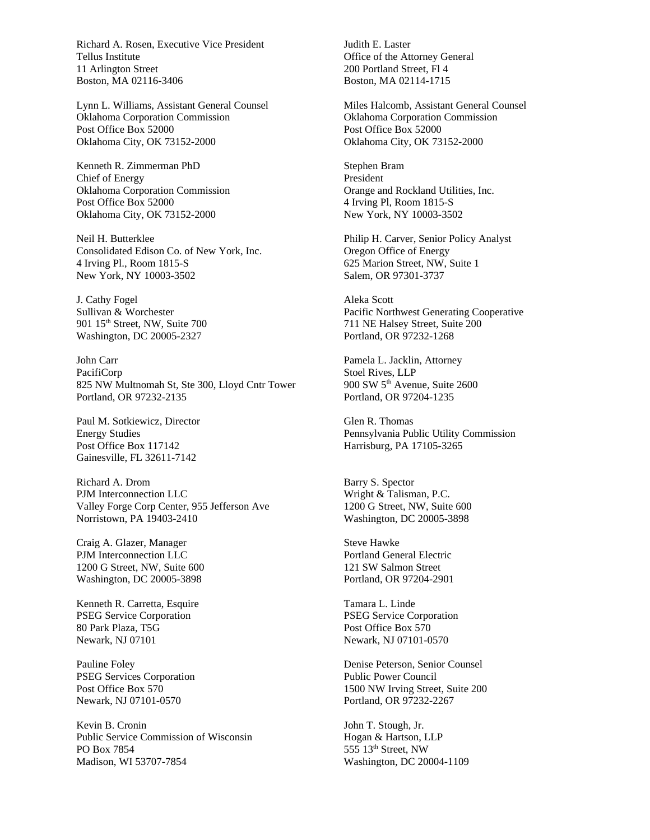Richard A. Rosen, Executive Vice President Tellus Institute 11 Arlington Street Boston, MA 02116-3406

Lynn L. Williams, Assistant General Counsel Oklahoma Corporation Commission Post Office Box 52000 Oklahoma City, OK 73152-2000

Kenneth R. Zimmerman PhD Chief of Energy Oklahoma Corporation Commission Post Office Box 52000 Oklahoma City, OK 73152-2000

Neil H. Butterklee Consolidated Edison Co. of New York, Inc. 4 Irving Pl., Room 1815-S New York, NY 10003-3502

J. Cathy Fogel Sullivan & Worchester 901 15<sup>th</sup> Street, NW, Suite 700 Washington, DC 20005-2327

John Carr PacifiCorp 825 NW Multnomah St, Ste 300, Lloyd Cntr Tower Portland, OR 97232-2135

Paul M. Sotkiewicz, Director Energy Studies Post Office Box 117142 Gainesville, FL 32611-7142

Richard A. Drom PJM Interconnection LLC Valley Forge Corp Center, 955 Jefferson Ave Norristown, PA 19403-2410

Craig A. Glazer, Manager PJM Interconnection LLC 1200 G Street, NW, Suite 600 Washington, DC 20005-3898

Kenneth R. Carretta, Esquire PSEG Service Corporation 80 Park Plaza, T5G Newark, NJ 07101

Pauline Foley PSEG Services Corporation Post Office Box 570 Newark, NJ 07101-0570

Kevin B. Cronin Public Service Commission of Wisconsin PO Box 7854 Madison, WI 53707-7854

Judith E. Laster Office of the Attorney General 200 Portland Street, Fl 4 Boston, MA 02114-1715

Miles Halcomb, Assistant General Counsel Oklahoma Corporation Commission Post Office Box 52000 Oklahoma City, OK 73152-2000

Stephen Bram President Orange and Rockland Utilities, Inc. 4 Irving Pl, Room 1815-S New York, NY 10003-3502

Philip H. Carver, Senior Policy Analyst Oregon Office of Energy 625 Marion Street, NW, Suite 1 Salem, OR 97301-3737

Aleka Scott Pacific Northwest Generating Cooperative 711 NE Halsey Street, Suite 200 Portland, OR 97232-1268

Pamela L. Jacklin, Attorney Stoel Rives, LLP 900 SW 5th Avenue, Suite 2600 Portland, OR 97204-1235

Glen R. Thomas Pennsylvania Public Utility Commission Harrisburg, PA 17105-3265

Barry S. Spector Wright & Talisman, P.C. 1200 G Street, NW, Suite 600 Washington, DC 20005-3898

Steve Hawke Portland General Electric 121 SW Salmon Street Portland, OR 97204-2901

Tamara L. Linde PSEG Service Corporation Post Office Box 570 Newark, NJ 07101-0570

Denise Peterson, Senior Counsel Public Power Council 1500 NW Irving Street, Suite 200 Portland, OR 97232-2267

John T. Stough, Jr. Hogan & Hartson, LLP 555 13th Street, NW Washington, DC 20004-1109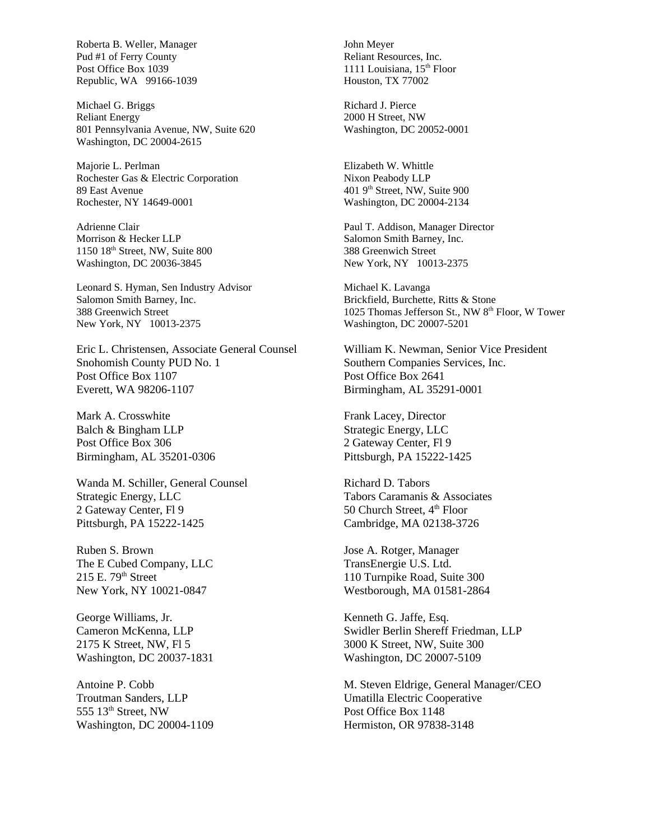Roberta B. Weller, Manager Pud #1 of Ferry County Post Office Box 1039 Republic, WA 99166-1039

Michael G. Briggs Reliant Energy 801 Pennsylvania Avenue, NW, Suite 620 Washington, DC 20004-2615

Majorie L. Perlman Rochester Gas & Electric Corporation 89 East Avenue Rochester, NY 14649-0001

Adrienne Clair Morrison & Hecker LLP 1150 18th Street, NW, Suite 800 Washington, DC 20036-3845

Leonard S. Hyman, Sen Industry Advisor Salomon Smith Barney, Inc. 388 Greenwich Street New York, NY 10013-2375

Eric L. Christensen, Associate General Counsel Snohomish County PUD No. 1 Post Office Box 1107 Everett, WA 98206-1107

Mark A. Crosswhite Balch & Bingham LLP Post Office Box 306 Birmingham, AL 35201-0306

Wanda M. Schiller, General Counsel Strategic Energy, LLC 2 Gateway Center, Fl 9 Pittsburgh, PA 15222-1425

Ruben S. Brown The E Cubed Company, LLC  $215$  E.  $79<sup>th</sup>$  Street New York, NY 10021-0847

George Williams, Jr. Cameron McKenna, LLP 2175 K Street, NW, Fl 5 Washington, DC 20037-1831

Antoine P. Cobb Troutman Sanders, LLP  $555$   $13<sup>th</sup>$  Street, NW Washington, DC 20004-1109

John Meyer Reliant Resources, Inc. 1111 Louisiana,  $15<sup>th</sup>$  Floor Houston, TX 77002

Richard J. Pierce 2000 H Street, NW Washington, DC 20052-0001

Elizabeth W. Whittle Nixon Peabody LLP 401 9th Street, NW, Suite 900 Washington, DC 20004-2134

Paul T. Addison, Manager Director Salomon Smith Barney, Inc. 388 Greenwich Street New York, NY 10013-2375

Michael K. Lavanga Brickfield, Burchette, Ritts & Stone 1025 Thomas Jefferson St., NW 8<sup>th</sup> Floor, W Tower Washington, DC 20007-5201

William K. Newman, Senior Vice President Southern Companies Services, Inc. Post Office Box 2641 Birmingham, AL 35291-0001

Frank Lacey, Director Strategic Energy, LLC 2 Gateway Center, Fl 9 Pittsburgh, PA 15222-1425

Richard D. Tabors Tabors Caramanis & Associates 50 Church Street, 4<sup>th</sup> Floor Cambridge, MA 02138-3726

Jose A. Rotger, Manager TransEnergie U.S. Ltd. 110 Turnpike Road, Suite 300 Westborough, MA 01581-2864

Kenneth G. Jaffe, Esq. Swidler Berlin Shereff Friedman, LLP 3000 K Street, NW, Suite 300 Washington, DC 20007-5109

M. Steven Eldrige, General Manager/CEO Umatilla Electric Cooperative Post Office Box 1148 Hermiston, OR 97838-3148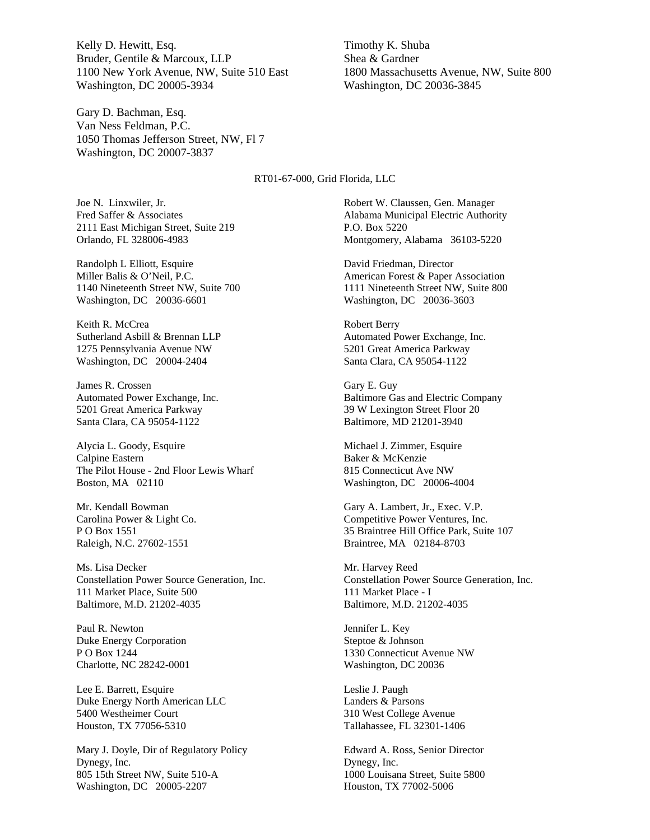Kelly D. Hewitt, Esq. Bruder, Gentile & Marcoux, LLP 1100 New York Avenue, NW, Suite 510 East Washington, DC 20005-3934

Gary D. Bachman, Esq. Van Ness Feldman, P.C. 1050 Thomas Jefferson Street, NW, Fl 7 Washington, DC 20007-3837

Timothy K. Shuba Shea & Gardner 1800 Massachusetts Avenue, NW, Suite 800 Washington, DC 20036-3845

#### RT01-67-000, Grid Florida, LLC

Joe N. Linxwiler, Jr. Fred Saffer & Associates 2111 East Michigan Street, Suite 219 Orlando, FL 328006-4983

Randolph L Elliott, Esquire Miller Balis & O'Neil, P.C. 1140 Nineteenth Street NW, Suite 700 Washington, DC 20036-6601

Keith R. McCrea Sutherland Asbill & Brennan LLP 1275 Pennsylvania Avenue NW Washington, DC 20004-2404

James R. Crossen Automated Power Exchange, Inc. 5201 Great America Parkway Santa Clara, CA 95054-1122

Alycia L. Goody, Esquire Calpine Eastern The Pilot House - 2nd Floor Lewis Wharf Boston, MA 02110

Mr. Kendall Bowman Carolina Power & Light Co. P O Box 1551 Raleigh, N.C. 27602-1551

Ms. Lisa Decker Constellation Power Source Generation, Inc. 111 Market Place, Suite 500 Baltimore, M.D. 21202-4035

Paul R. Newton Duke Energy Corporation P O Box 1244 Charlotte, NC 28242-0001

Lee E. Barrett, Esquire Duke Energy North American LLC 5400 Westheimer Court Houston, TX 77056-5310

Mary J. Doyle, Dir of Regulatory Policy Dynegy, Inc. 805 15th Street NW, Suite 510-A Washington, DC 20005-2207

Robert W. Claussen, Gen. Manager Alabama Municipal Electric Authority P.O. Box 5220 Montgomery, Alabama 36103-5220

David Friedman, Director American Forest & Paper Association 1111 Nineteenth Street NW, Suite 800 Washington, DC 20036-3603

Robert Berry Automated Power Exchange, Inc. 5201 Great America Parkway Santa Clara, CA 95054-1122

Gary E. Guy Baltimore Gas and Electric Company 39 W Lexington Street Floor 20 Baltimore, MD 21201-3940

Michael J. Zimmer, Esquire Baker & McKenzie 815 Connecticut Ave NW Washington, DC 20006-4004

Gary A. Lambert, Jr., Exec. V.P. Competitive Power Ventures, Inc. 35 Braintree Hill Office Park, Suite 107 Braintree, MA 02184-8703

Mr. Harvey Reed Constellation Power Source Generation, Inc. 111 Market Place - I Baltimore, M.D. 21202-4035

Jennifer L. Key Steptoe & Johnson 1330 Connecticut Avenue NW Washington, DC 20036

Leslie J. Paugh Landers & Parsons 310 West College Avenue Tallahassee, FL 32301-1406

Edward A. Ross, Senior Director Dynegy, Inc. 1000 Louisana Street, Suite 5800 Houston, TX 77002-5006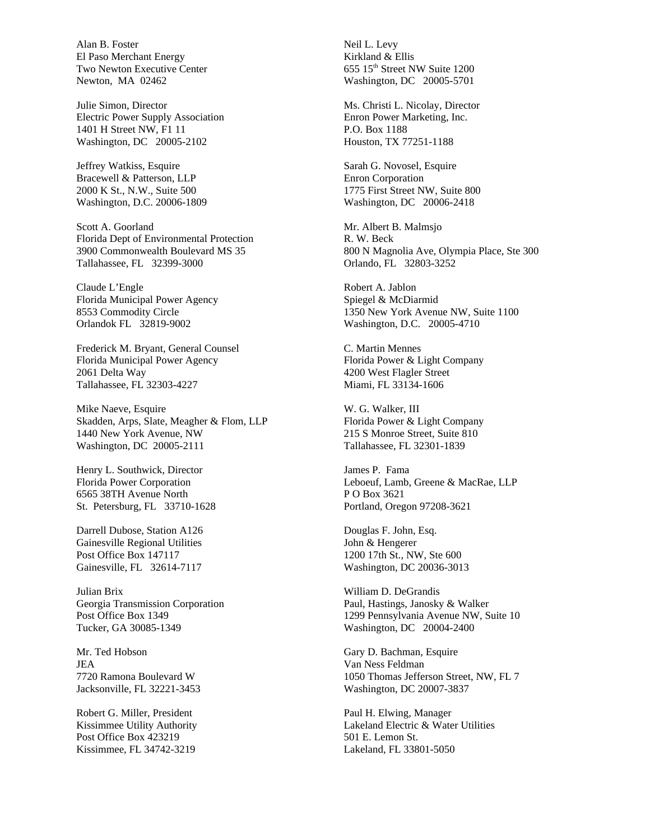Alan B. Foster El Paso Merchant Energy Two Newton Executive Center Newton, MA 02462

Julie Simon, Director Electric Power Supply Association 1401 H Street NW, F1 11 Washington, DC 20005-2102

Jeffrey Watkiss, Esquire Bracewell & Patterson, LLP 2000 K St., N.W., Suite 500 Washington, D.C. 20006-1809

Scott A. Goorland Florida Dept of Environmental Protection 3900 Commonwealth Boulevard MS 35 Tallahassee, FL 32399-3000

Claude L'Engle Florida Municipal Power Agency 8553 Commodity Circle Orlandok FL 32819-9002

Frederick M. Bryant, General Counsel Florida Municipal Power Agency 2061 Delta Way Tallahassee, FL 32303-4227

Mike Naeve, Esquire Skadden, Arps, Slate, Meagher & Flom, LLP 1440 New York Avenue, NW Washington, DC 20005-2111

Henry L. Southwick, Director Florida Power Corporation 6565 38TH Avenue North St. Petersburg, FL 33710-1628

Darrell Dubose, Station A126 Gainesville Regional Utilities Post Office Box 147117 Gainesville, FL 32614-7117

Julian Brix Georgia Transmission Corporation Post Office Box 1349 Tucker, GA 30085-1349

Mr. Ted Hobson JEA 7720 Ramona Boulevard W Jacksonville, FL 32221-3453

Robert G. Miller, President Kissimmee Utility Authority Post Office Box 423219 Kissimmee, FL 34742-3219

Neil L. Levy Kirkland & Ellis 655 15th Street NW Suite 1200 Washington, DC 20005-5701

Ms. Christi L. Nicolay, Director Enron Power Marketing, Inc. P.O. Box 1188 Houston, TX 77251-1188

Sarah G. Novosel, Esquire Enron Corporation 1775 First Street NW, Suite 800 Washington, DC 20006-2418

Mr. Albert B. Malmsjo R. W. Beck 800 N Magnolia Ave, Olympia Place, Ste 300 Orlando, FL 32803-3252

Robert A. Jablon Spiegel & McDiarmid 1350 New York Avenue NW, Suite 1100 Washington, D.C. 20005-4710

C. Martin Mennes Florida Power & Light Company 4200 West Flagler Street Miami, FL 33134-1606

W. G. Walker, III Florida Power & Light Company 215 S Monroe Street, Suite 810 Tallahassee, FL 32301-1839

James P. Fama Leboeuf, Lamb, Greene & MacRae, LLP P O Box 3621 Portland, Oregon 97208-3621

Douglas F. John, Esq. John & Hengerer 1200 17th St., NW, Ste 600 Washington, DC 20036-3013

William D. DeGrandis Paul, Hastings, Janosky & Walker 1299 Pennsylvania Avenue NW, Suite 10 Washington, DC 20004-2400

Gary D. Bachman, Esquire Van Ness Feldman 1050 Thomas Jefferson Street, NW, FL 7 Washington, DC 20007-3837

Paul H. Elwing, Manager Lakeland Electric & Water Utilities 501 E. Lemon St. Lakeland, FL 33801-5050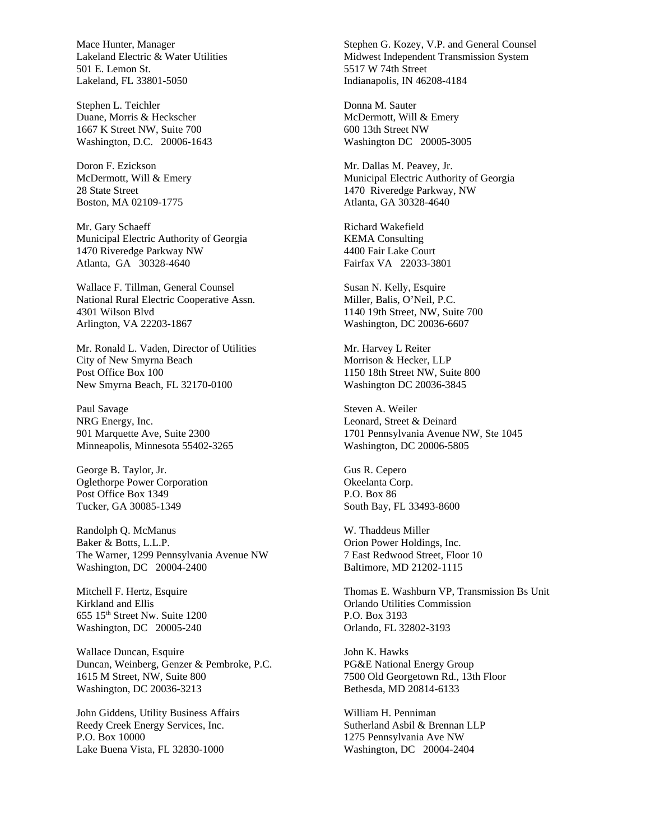Mace Hunter, Manager Lakeland Electric & Water Utilities 501 E. Lemon St. Lakeland, FL 33801-5050

Stephen L. Teichler Duane, Morris & Heckscher 1667 K Street NW, Suite 700 Washington, D.C. 20006-1643

Doron F. Ezickson McDermott, Will & Emery 28 State Street Boston, MA 02109-1775

Mr. Gary Schaeff Municipal Electric Authority of Georgia 1470 Riveredge Parkway NW Atlanta, GA 30328-4640

Wallace F. Tillman, General Counsel National Rural Electric Cooperative Assn. 4301 Wilson Blvd Arlington, VA 22203-1867

Mr. Ronald L. Vaden, Director of Utilities City of New Smyrna Beach Post Office Box 100 New Smyrna Beach, FL 32170-0100

Paul Savage NRG Energy, Inc. 901 Marquette Ave, Suite 2300 Minneapolis, Minnesota 55402-3265

George B. Taylor, Jr. Oglethorpe Power Corporation Post Office Box 1349 Tucker, GA 30085-1349

Randolph Q. McManus Baker & Botts, L.L.P. The Warner, 1299 Pennsylvania Avenue NW Washington, DC 20004-2400

Mitchell F. Hertz, Esquire Kirkland and Ellis 655 15th Street Nw. Suite 1200 Washington, DC 20005-240

Wallace Duncan, Esquire Duncan, Weinberg, Genzer & Pembroke, P.C. 1615 M Street, NW, Suite 800 Washington, DC 20036-3213

John Giddens, Utility Business Affairs Reedy Creek Energy Services, Inc. P.O. Box 10000 Lake Buena Vista, FL 32830-1000

Stephen G. Kozey, V.P. and General Counsel Midwest Independent Transmission System 5517 W 74th Street Indianapolis, IN 46208-4184

Donna M. Sauter McDermott, Will & Emery 600 13th Street NW Washington DC 20005-3005

Mr. Dallas M. Peavey, Jr. Municipal Electric Authority of Georgia 1470 Riveredge Parkway, NW Atlanta, GA 30328-4640

Richard Wakefield KEMA Consulting 4400 Fair Lake Court Fairfax VA 22033-3801

Susan N. Kelly, Esquire Miller, Balis, O'Neil, P.C. 1140 19th Street, NW, Suite 700 Washington, DC 20036-6607

Mr. Harvey L Reiter Morrison & Hecker, LLP 1150 18th Street NW, Suite 800 Washington DC 20036-3845

Steven A. Weiler Leonard, Street & Deinard 1701 Pennsylvania Avenue NW, Ste 1045 Washington, DC 20006-5805

Gus R. Cepero Okeelanta Corp. P.O. Box 86 South Bay, FL 33493-8600

W. Thaddeus Miller Orion Power Holdings, Inc. 7 East Redwood Street, Floor 10 Baltimore, MD 21202-1115

Thomas E. Washburn VP, Transmission Bs Unit Orlando Utilities Commission P.O. Box 3193 Orlando, FL 32802-3193

John K. Hawks PG&E National Energy Group 7500 Old Georgetown Rd., 13th Floor Bethesda, MD 20814-6133

William H. Penniman Sutherland Asbil & Brennan LLP 1275 Pennsylvania Ave NW Washington, DC 20004-2404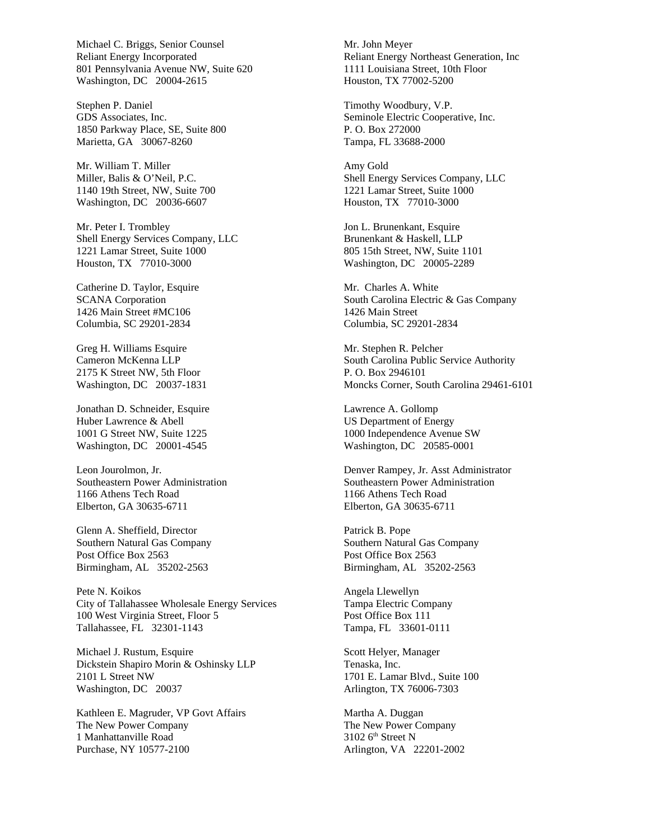Michael C. Briggs, Senior Counsel Reliant Energy Incorporated 801 Pennsylvania Avenue NW, Suite 620 Washington, DC 20004-2615

Stephen P. Daniel GDS Associates, Inc. 1850 Parkway Place, SE, Suite 800 Marietta, GA 30067-8260

Mr. William T. Miller Miller, Balis & O'Neil, P.C. 1140 19th Street, NW, Suite 700 Washington, DC 20036-6607

Mr. Peter I. Trombley Shell Energy Services Company, LLC 1221 Lamar Street, Suite 1000 Houston, TX 77010-3000

Catherine D. Taylor, Esquire SCANA Corporation 1426 Main Street #MC106 Columbia, SC 29201-2834

Greg H. Williams Esquire Cameron McKenna LLP 2175 K Street NW, 5th Floor Washington, DC 20037-1831

Jonathan D. Schneider, Esquire Huber Lawrence & Abell 1001 G Street NW, Suite 1225 Washington, DC 20001-4545

Leon Jourolmon, Jr. Southeastern Power Administration 1166 Athens Tech Road Elberton, GA 30635-6711

Glenn A. Sheffield, Director Southern Natural Gas Company Post Office Box 2563 Birmingham, AL 35202-2563

Pete N. Koikos City of Tallahassee Wholesale Energy Services 100 West Virginia Street, Floor 5 Tallahassee, FL 32301-1143

Michael J. Rustum, Esquire Dickstein Shapiro Morin & Oshinsky LLP 2101 L Street NW Washington, DC 20037

Kathleen E. Magruder, VP Govt Affairs The New Power Company 1 Manhattanville Road Purchase, NY 10577-2100

Mr. John Meyer Reliant Energy Northeast Generation, Inc 1111 Louisiana Street, 10th Floor Houston, TX 77002-5200

Timothy Woodbury, V.P. Seminole Electric Cooperative, Inc. P. O. Box 272000 Tampa, FL 33688-2000

Amy Gold Shell Energy Services Company, LLC 1221 Lamar Street, Suite 1000 Houston, TX 77010-3000

Jon L. Brunenkant, Esquire Brunenkant & Haskell, LLP 805 15th Street, NW, Suite 1101 Washington, DC 20005-2289

Mr. Charles A. White South Carolina Electric & Gas Company 1426 Main Street Columbia, SC 29201-2834

Mr. Stephen R. Pelcher South Carolina Public Service Authority P. O. Box 2946101 Moncks Corner, South Carolina 29461-6101

Lawrence A. Gollomp US Department of Energy 1000 Independence Avenue SW Washington, DC 20585-0001

Denver Rampey, Jr. Asst Administrator Southeastern Power Administration 1166 Athens Tech Road Elberton, GA 30635-6711

Patrick B. Pope Southern Natural Gas Company Post Office Box 2563 Birmingham, AL 35202-2563

Angela Llewellyn Tampa Electric Company Post Office Box 111 Tampa, FL 33601-0111

Scott Helyer, Manager Tenaska, Inc. 1701 E. Lamar Blvd., Suite 100 Arlington, TX 76006-7303

Martha A. Duggan The New Power Company  $3102$  6<sup>th</sup> Street N Arlington, VA 22201-2002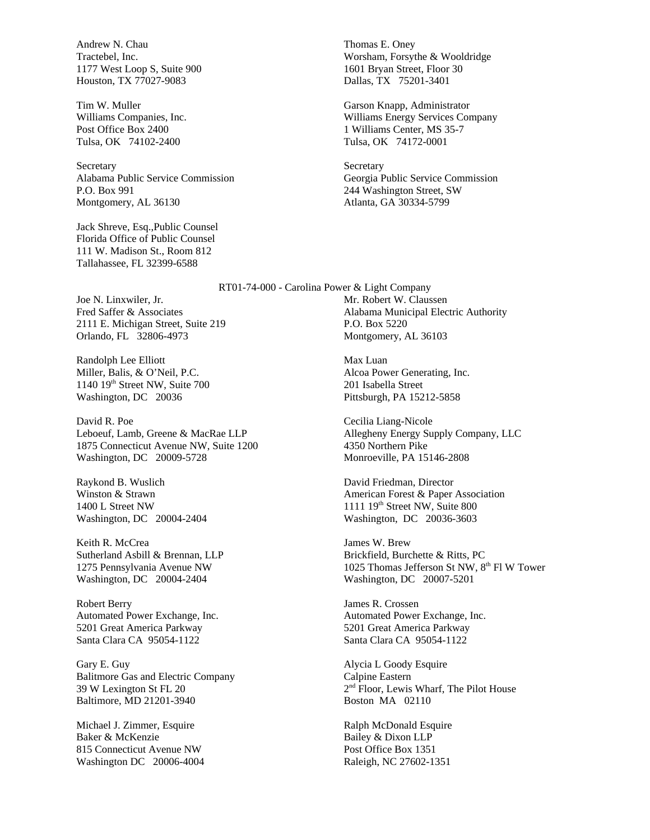Andrew N. Chau Tractebel, Inc. 1177 West Loop S, Suite 900 Houston, TX 77027-9083

Tim W. Muller Williams Companies, Inc. Post Office Box 2400 Tulsa, OK 74102-2400

Secretary Alabama Public Service Commission P.O. Box 991 Montgomery, AL 36130

Jack Shreve, Esq.,Public Counsel Florida Office of Public Counsel 111 W. Madison St., Room 812 Tallahassee, FL 32399-6588

Thomas E. Oney Worsham, Forsythe & Wooldridge 1601 Bryan Street, Floor 30 Dallas, TX 75201-3401

Garson Knapp, Administrator Williams Energy Services Company 1 Williams Center, MS 35-7 Tulsa, OK 74172-0001

**Secretary** Georgia Public Service Commission 244 Washington Street, SW Atlanta, GA 30334-5799

RT01-74-000 - Carolina Power & Light Company Mr. Robert W. Claussen Alabama Municipal Electric Authority P.O. Box 5220 Montgomery, AL 36103

> Max Luan Alcoa Power Generating, Inc. 201 Isabella Street Pittsburgh, PA 15212-5858

Cecilia Liang-Nicole Allegheny Energy Supply Company, LLC 4350 Northern Pike Monroeville, PA 15146-2808

David Friedman, Director American Forest & Paper Association 1111  $19<sup>th</sup>$  Street NW, Suite 800 Washington, DC 20036-3603

James W. Brew Brickfield, Burchette & Ritts, PC 1025 Thomas Jefferson St NW, 8<sup>th</sup> Fl W Tower Washington, DC 20007-5201

James R. Crossen Automated Power Exchange, Inc. 5201 Great America Parkway Santa Clara CA 95054-1122

Alycia L Goody Esquire Calpine Eastern 2 nd Floor, Lewis Wharf, The Pilot House Boston MA 02110

Ralph McDonald Esquire Bailey & Dixon LLP Post Office Box 1351 Raleigh, NC 27602-1351

Joe N. Linxwiler, Jr. Fred Saffer & Associates 2111 E. Michigan Street, Suite 219 Orlando, FL 32806-4973

Randolph Lee Elliott Miller, Balis, & O'Neil, P.C. 1140 19th Street NW, Suite 700 Washington, DC 20036

David R. Poe Leboeuf, Lamb, Greene & MacRae LLP 1875 Connecticut Avenue NW, Suite 1200 Washington, DC 20009-5728

Raykond B. Wuslich Winston & Strawn 1400 L Street NW Washington, DC 20004-2404

Keith R. McCrea Sutherland Asbill & Brennan, LLP 1275 Pennsylvania Avenue NW Washington, DC 20004-2404

Robert Berry Automated Power Exchange, Inc. 5201 Great America Parkway Santa Clara CA 95054-1122

Gary E. Guy Balitmore Gas and Electric Company 39 W Lexington St FL 20 Baltimore, MD 21201-3940

Michael J. Zimmer, Esquire Baker & McKenzie 815 Connecticut Avenue NW Washington DC 20006-4004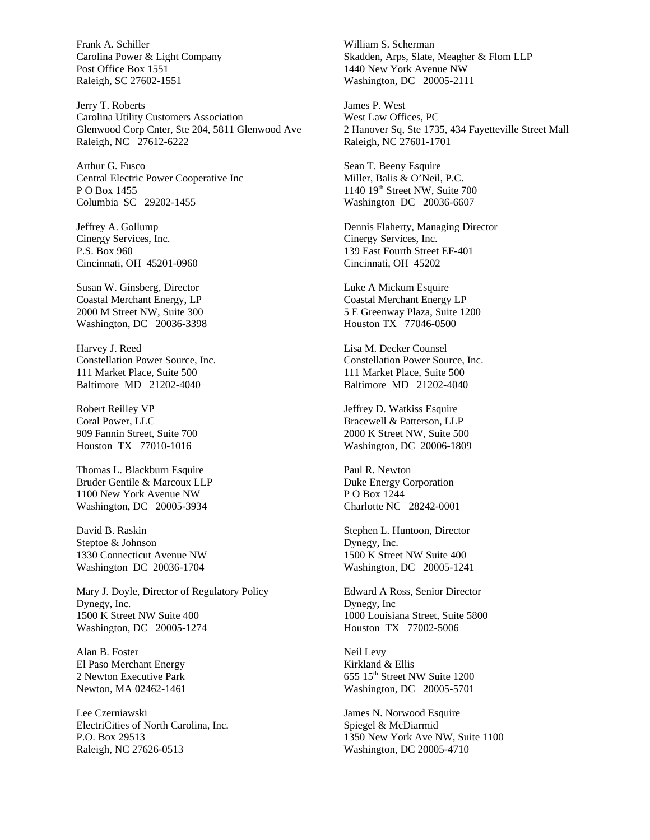Frank A. Schiller Carolina Power & Light Company Post Office Box 1551 Raleigh, SC 27602-1551

Jerry T. Roberts Carolina Utility Customers Association Glenwood Corp Cnter, Ste 204, 5811 Glenwood Ave Raleigh, NC 27612-6222

Arthur G. Fusco Central Electric Power Cooperative Inc P O Box 1455 Columbia SC 29202-1455

Jeffrey A. Gollump Cinergy Services, Inc. P.S. Box 960 Cincinnati, OH 45201-0960

Susan W. Ginsberg, Director Coastal Merchant Energy, LP 2000 M Street NW, Suite 300 Washington, DC 20036-3398

Harvey J. Reed Constellation Power Source, Inc. 111 Market Place, Suite 500 Baltimore MD 21202-4040

Robert Reilley VP Coral Power, LLC 909 Fannin Street, Suite 700 Houston TX 77010-1016

Thomas L. Blackburn Esquire Bruder Gentile & Marcoux LLP 1100 New York Avenue NW Washington, DC 20005-3934

David B. Raskin Steptoe & Johnson 1330 Connecticut Avenue NW Washington DC 20036-1704

Mary J. Doyle, Director of Regulatory Policy Dynegy, Inc. 1500 K Street NW Suite 400 Washington, DC 20005-1274

Alan B. Foster El Paso Merchant Energy 2 Newton Executive Park Newton, MA 02462-1461

Lee Czerniawski ElectriCities of North Carolina, Inc. P.O. Box 29513 Raleigh, NC 27626-0513

William S. Scherman Skadden, Arps, Slate, Meagher & Flom LLP 1440 New York Avenue NW Washington, DC 20005-2111

James P. West West Law Offices, PC 2 Hanover Sq, Ste 1735, 434 Fayetteville Street Mall Raleigh, NC 27601-1701

Sean T. Beeny Esquire Miller, Balis & O'Neil, P.C. 1140 19th Street NW, Suite 700 Washington DC 20036-6607

Dennis Flaherty, Managing Director Cinergy Services, Inc. 139 East Fourth Street EF-401 Cincinnati, OH 45202

Luke A Mickum Esquire Coastal Merchant Energy LP 5 E Greenway Plaza, Suite 1200 Houston TX 77046-0500

Lisa M. Decker Counsel Constellation Power Source, Inc. 111 Market Place, Suite 500 Baltimore MD 21202-4040

Jeffrey D. Watkiss Esquire Bracewell & Patterson, LLP 2000 K Street NW, Suite 500 Washington, DC 20006-1809

Paul R. Newton Duke Energy Corporation P O Box 1244 Charlotte NC 28242-0001

Stephen L. Huntoon, Director Dynegy, Inc. 1500 K Street NW Suite 400 Washington, DC 20005-1241

Edward A Ross, Senior Director Dynegy, Inc 1000 Louisiana Street, Suite 5800 Houston TX 77002-5006

Neil Levy Kirkland & Ellis 655 15th Street NW Suite 1200 Washington, DC 20005-5701

James N. Norwood Esquire Spiegel & McDiarmid 1350 New York Ave NW, Suite 1100 Washington, DC 20005-4710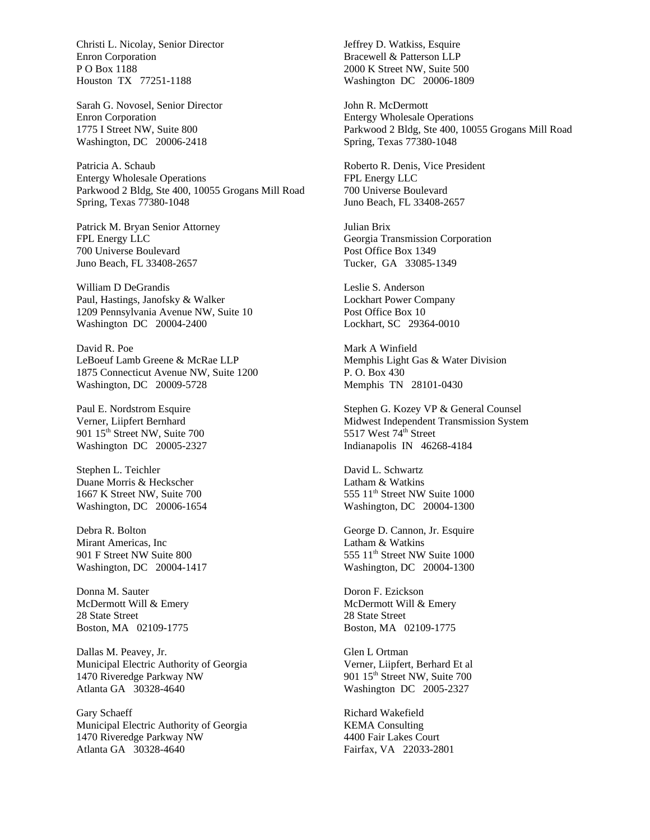Christi L. Nicolay, Senior Director Enron Corporation P O Box 1188 Houston TX 77251-1188

Sarah G. Novosel, Senior Director Enron Corporation 1775 I Street NW, Suite 800 Washington, DC 20006-2418

Patricia A. Schaub Entergy Wholesale Operations Parkwood 2 Bldg, Ste 400, 10055 Grogans Mill Road Spring, Texas 77380-1048

Patrick M. Bryan Senior Attorney FPL Energy LLC 700 Universe Boulevard Juno Beach, FL 33408-2657

William D DeGrandis Paul, Hastings, Janofsky & Walker 1209 Pennsylvania Avenue NW, Suite 10 Washington DC 20004-2400

David R. Poe LeBoeuf Lamb Greene & McRae LLP 1875 Connecticut Avenue NW, Suite 1200 Washington, DC 20009-5728

Paul E. Nordstrom Esquire Verner, Liipfert Bernhard 901 15<sup>th</sup> Street NW, Suite 700 Washington DC 20005-2327

Stephen L. Teichler Duane Morris & Heckscher 1667 K Street NW, Suite 700 Washington, DC 20006-1654

Debra R. Bolton Mirant Americas, Inc 901 F Street NW Suite 800 Washington, DC 20004-1417

Donna M. Sauter McDermott Will & Emery 28 State Street Boston, MA 02109-1775

Dallas M. Peavey, Jr. Municipal Electric Authority of Georgia 1470 Riveredge Parkway NW Atlanta GA 30328-4640

Gary Schaeff Municipal Electric Authority of Georgia 1470 Riveredge Parkway NW Atlanta GA 30328-4640

Jeffrey D. Watkiss, Esquire Bracewell & Patterson LLP 2000 K Street NW, Suite 500 Washington DC 20006-1809

John R. McDermott Entergy Wholesale Operations Parkwood 2 Bldg, Ste 400, 10055 Grogans Mill Road Spring, Texas 77380-1048

Roberto R. Denis, Vice President FPL Energy LLC 700 Universe Boulevard Juno Beach, FL 33408-2657

Julian Brix Georgia Transmission Corporation Post Office Box 1349 Tucker, GA 33085-1349

Leslie S. Anderson Lockhart Power Company Post Office Box 10 Lockhart, SC 29364-0010

Mark A Winfield Memphis Light Gas & Water Division P. O. Box 430 Memphis TN 28101-0430

Stephen G. Kozey VP & General Counsel Midwest Independent Transmission System 5517 West  $74^{\text{th}}$  Street Indianapolis IN 46268-4184

David L. Schwartz Latham & Watkins 555 11<sup>th</sup> Street NW Suite 1000 Washington, DC 20004-1300

George D. Cannon, Jr. Esquire Latham & Watkins 555 11<sup>th</sup> Street NW Suite 1000 Washington, DC 20004-1300

Doron F. Ezickson McDermott Will & Emery 28 State Street Boston, MA 02109-1775

Glen L Ortman Verner, Liipfert, Berhard Et al 901 15<sup>th</sup> Street NW, Suite 700 Washington DC 2005-2327

Richard Wakefield KEMA Consulting 4400 Fair Lakes Court Fairfax, VA 22033-2801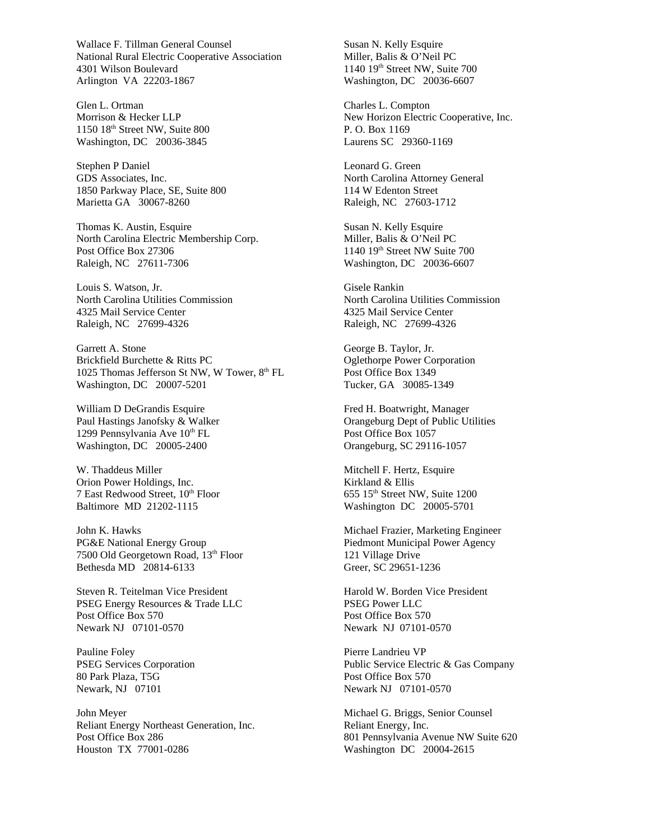Wallace F. Tillman General Counsel National Rural Electric Cooperative Association 4301 Wilson Boulevard Arlington VA 22203-1867

Glen L. Ortman Morrison & Hecker LLP 1150 18th Street NW, Suite 800 Washington, DC 20036-3845

Stephen P Daniel GDS Associates, Inc. 1850 Parkway Place, SE, Suite 800 Marietta GA 30067-8260

Thomas K. Austin, Esquire North Carolina Electric Membership Corp. Post Office Box 27306 Raleigh, NC 27611-7306

Louis S. Watson, Jr. North Carolina Utilities Commission 4325 Mail Service Center Raleigh, NC 27699-4326

Garrett A. Stone Brickfield Burchette & Ritts PC 1025 Thomas Jefferson St NW, W Tower, 8<sup>th</sup> FL Washington, DC 20007-5201

William D DeGrandis Esquire Paul Hastings Janofsky & Walker 1299 Pennsylvania Ave 10<sup>th</sup> FL Washington, DC 20005-2400

W. Thaddeus Miller Orion Power Holdings, Inc. 7 East Redwood Street, 10<sup>th</sup> Floor Baltimore MD 21202-1115

John K. Hawks PG&E National Energy Group 7500 Old Georgetown Road, 13th Floor Bethesda MD 20814-6133

Steven R. Teitelman Vice President PSEG Energy Resources & Trade LLC Post Office Box 570 Newark NJ 07101-0570

Pauline Foley PSEG Services Corporation 80 Park Plaza, T5G Newark, NJ 07101

John Meyer Reliant Energy Northeast Generation, Inc. Post Office Box 286 Houston TX 77001-0286

Susan N. Kelly Esquire Miller, Balis & O'Neil PC 1140 19<sup>th</sup> Street NW, Suite 700 Washington, DC 20036-6607

Charles L. Compton New Horizon Electric Cooperative, Inc. P. O. Box 1169 Laurens SC 29360-1169

Leonard G. Green North Carolina Attorney General 114 W Edenton Street Raleigh, NC 27603-1712

Susan N. Kelly Esquire Miller, Balis & O'Neil PC 1140 19th Street NW Suite 700 Washington, DC 20036-6607

Gisele Rankin North Carolina Utilities Commission 4325 Mail Service Center Raleigh, NC 27699-4326

George B. Taylor, Jr. Oglethorpe Power Corporation Post Office Box 1349 Tucker, GA 30085-1349

Fred H. Boatwright, Manager Orangeburg Dept of Public Utilities Post Office Box 1057 Orangeburg, SC 29116-1057

Mitchell F. Hertz, Esquire Kirkland & Ellis 655 15th Street NW, Suite 1200 Washington DC 20005-5701

Michael Frazier, Marketing Engineer Piedmont Municipal Power Agency 121 Village Drive Greer, SC 29651-1236

Harold W. Borden Vice President PSEG Power LLC Post Office Box 570 Newark NJ 07101-0570

Pierre Landrieu VP Public Service Electric & Gas Company Post Office Box 570 Newark NJ 07101-0570

Michael G. Briggs, Senior Counsel Reliant Energy, Inc. 801 Pennsylvania Avenue NW Suite 620 Washington DC 20004-2615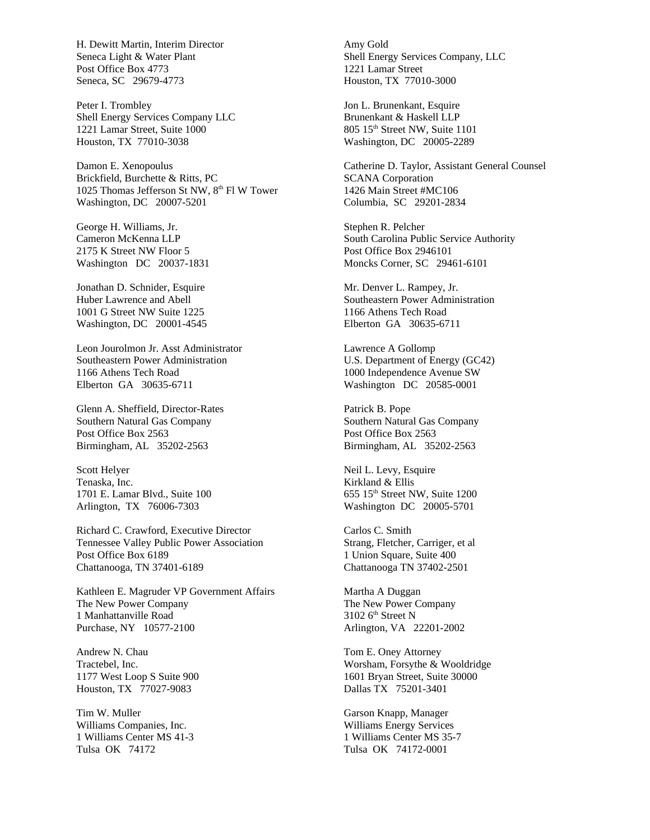H. Dewitt Martin, Interim Director Seneca Light & Water Plant Post Office Box 4773 Seneca, SC 29679-4773

Peter I. Trombley Shell Energy Services Company LLC 1221 Lamar Street, Suite 1000 Houston, TX 77010-3038

Damon E. Xenopoulus Brickfield, Burchette & Ritts, PC 1025 Thomas Jefferson St NW, 8<sup>th</sup> Fl W Tower Washington, DC 20007-5201

George H. Williams, Jr. Cameron McKenna LLP 2175 K Street NW Floor 5 Washington DC 20037-1831

Jonathan D. Schnider, Esquire Huber Lawrence and Abell 1001 G Street NW Suite 1225 Washington, DC 20001-4545

Leon Jourolmon Jr. Asst Administrator Southeastern Power Administration 1166 Athens Tech Road Elberton GA 30635-6711

Glenn A. Sheffield, Director-Rates Southern Natural Gas Company Post Office Box 2563 Birmingham, AL 35202-2563

Scott Helyer Tenaska, Inc. 1701 E. Lamar Blvd., Suite 100 Arlington, TX 76006-7303

Richard C. Crawford, Executive Director Tennessee Valley Public Power Association Post Office Box 6189 Chattanooga, TN 37401-6189

Kathleen E. Magruder VP Government Affairs The New Power Company 1 Manhattanville Road Purchase, NY 10577-2100

Andrew N. Chau Tractebel, Inc. 1177 West Loop S Suite 900 Houston, TX 77027-9083

Tim W. Muller Williams Companies, Inc. 1 Williams Center MS 41-3 Tulsa OK 74172

Amy Gold Shell Energy Services Company, LLC 1221 Lamar Street Houston, TX 77010-3000

Jon L. Brunenkant, Esquire Brunenkant & Haskell LLP 805 15th Street NW, Suite 1101 Washington, DC 20005-2289

Catherine D. Taylor, Assistant General Counsel SCANA Corporation 1426 Main Street #MC106 Columbia, SC 29201-2834

Stephen R. Pelcher South Carolina Public Service Authority Post Office Box 2946101 Moncks Corner, SC 29461-6101

Mr. Denver L. Rampey, Jr. Southeastern Power Administration 1166 Athens Tech Road Elberton GA 30635-6711

Lawrence A Gollomp U.S. Department of Energy (GC42) 1000 Independence Avenue SW Washington DC 20585-0001

Patrick B. Pope Southern Natural Gas Company Post Office Box 2563 Birmingham, AL 35202-2563

Neil L. Levy, Esquire Kirkland & Ellis 655 15<sup>th</sup> Street NW, Suite 1200 Washington DC 20005-5701

Carlos C. Smith Strang, Fletcher, Carriger, et al 1 Union Square, Suite 400 Chattanooga TN 37402-2501

Martha A Duggan The New Power Company  $3102$  6<sup>th</sup> Street N Arlington, VA 22201-2002

Tom E. Oney Attorney Worsham, Forsythe & Wooldridge 1601 Bryan Street, Suite 30000 Dallas TX 75201-3401

Garson Knapp, Manager Williams Energy Services 1 Williams Center MS 35-7 Tulsa OK 74172-0001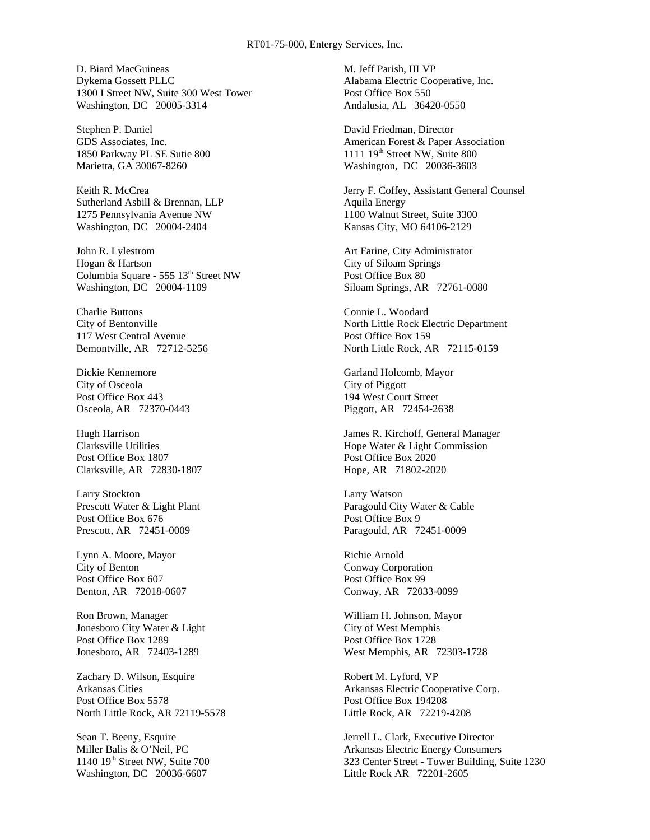D. Biard MacGuineas Dykema Gossett PLLC 1300 I Street NW, Suite 300 West Tower Washington, DC 20005-3314

Stephen P. Daniel GDS Associates, Inc. 1850 Parkway PL SE Sutie 800 Marietta, GA 30067-8260

Keith R. McCrea Sutherland Asbill & Brennan, LLP 1275 Pennsylvania Avenue NW Washington, DC 20004-2404

John R. Lylestrom Hogan & Hartson Columbia Square - 555 13th Street NW Washington, DC 20004-1109

Charlie Buttons City of Bentonville 117 West Central Avenue Bemontville, AR 72712-5256

Dickie Kennemore City of Osceola Post Office Box 443 Osceola, AR 72370-0443

Hugh Harrison Clarksville Utilities Post Office Box 1807 Clarksville, AR 72830-1807

Larry Stockton Prescott Water & Light Plant Post Office Box 676 Prescott, AR 72451-0009

Lynn A. Moore, Mayor City of Benton Post Office Box 607 Benton, AR 72018-0607

Ron Brown, Manager Jonesboro City Water & Light Post Office Box 1289 Jonesboro, AR 72403-1289

Zachary D. Wilson, Esquire Arkansas Cities Post Office Box 5578 North Little Rock, AR 72119-5578

Sean T. Beeny, Esquire Miller Balis & O'Neil, PC 1140 19<sup>th</sup> Street NW, Suite 700 Washington, DC 20036-6607

M. Jeff Parish, III VP Alabama Electric Cooperative, Inc. Post Office Box 550 Andalusia, AL 36420-0550

David Friedman, Director American Forest & Paper Association  $1111119<sup>th</sup>$  Street NW, Suite 800 Washington, DC 20036-3603

Jerry F. Coffey, Assistant General Counsel Aquila Energy 1100 Walnut Street, Suite 3300 Kansas City, MO 64106-2129

Art Farine, City Administrator City of Siloam Springs Post Office Box 80 Siloam Springs, AR 72761-0080

Connie L. Woodard North Little Rock Electric Department Post Office Box 159 North Little Rock, AR 72115-0159

Garland Holcomb, Mayor City of Piggott 194 West Court Street Piggott, AR 72454-2638

James R. Kirchoff, General Manager Hope Water & Light Commission Post Office Box 2020 Hope, AR 71802-2020

Larry Watson Paragould City Water & Cable Post Office Box 9 Paragould, AR 72451-0009

Richie Arnold Conway Corporation Post Office Box 99 Conway, AR 72033-0099

William H. Johnson, Mayor City of West Memphis Post Office Box 1728 West Memphis, AR 72303-1728

Robert M. Lyford, VP Arkansas Electric Cooperative Corp. Post Office Box 194208 Little Rock, AR 72219-4208

Jerrell L. Clark, Executive Director Arkansas Electric Energy Consumers 323 Center Street - Tower Building, Suite 1230 Little Rock AR 72201-2605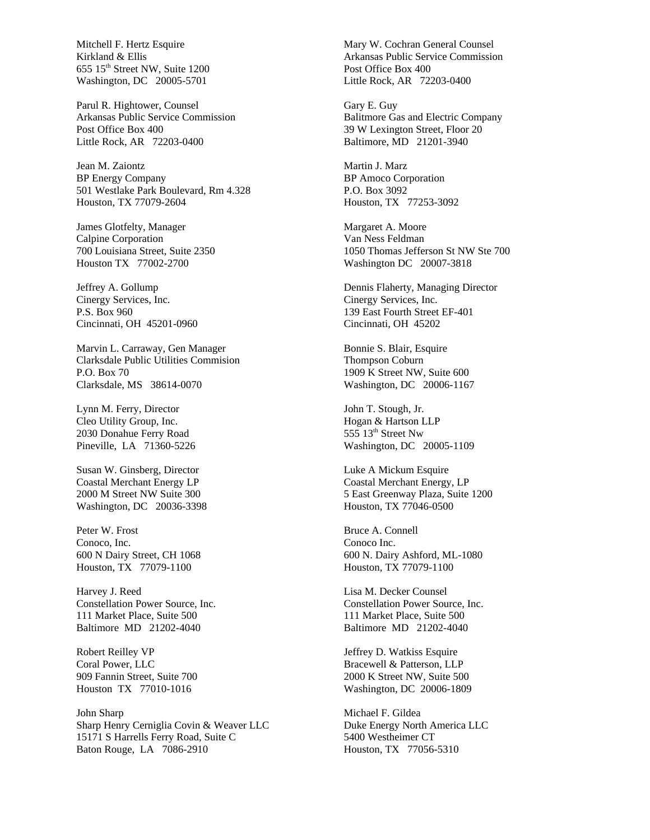Mitchell F. Hertz Esquire Kirkland & Ellis 655 15th Street NW, Suite 1200 Washington, DC 20005-5701

Parul R. Hightower, Counsel Arkansas Public Service Commission Post Office Box 400 Little Rock, AR 72203-0400

Jean M. Zaiontz BP Energy Company 501 Westlake Park Boulevard, Rm 4.328 Houston, TX 77079-2604

James Glotfelty, Manager Calpine Corporation 700 Louisiana Street, Suite 2350 Houston TX 77002-2700

Jeffrey A. Gollump Cinergy Services, Inc. P.S. Box 960 Cincinnati, OH 45201-0960

Marvin L. Carraway, Gen Manager Clarksdale Public Utilities Commision P.O. Box 70 Clarksdale, MS 38614-0070

Lynn M. Ferry, Director Cleo Utility Group, Inc. 2030 Donahue Ferry Road Pineville, LA 71360-5226

Susan W. Ginsberg, Director Coastal Merchant Energy LP 2000 M Street NW Suite 300 Washington, DC 20036-3398

Peter W. Frost Conoco, Inc. 600 N Dairy Street, CH 1068 Houston, TX 77079-1100

Harvey J. Reed Constellation Power Source, Inc. 111 Market Place, Suite 500 Baltimore MD 21202-4040

Robert Reilley VP Coral Power, LLC 909 Fannin Street, Suite 700 Houston TX 77010-1016

John Sharp Sharp Henry Cerniglia Covin & Weaver LLC 15171 S Harrells Ferry Road, Suite C Baton Rouge, LA 7086-2910

Mary W. Cochran General Counsel Arkansas Public Service Commission Post Office Box 400 Little Rock, AR 72203-0400

Gary E. Guy Balitmore Gas and Electric Company 39 W Lexington Street, Floor 20 Baltimore, MD 21201-3940

Martin J. Marz BP Amoco Corporation P.O. Box 3092 Houston, TX 77253-3092

Margaret A. Moore Van Ness Feldman 1050 Thomas Jefferson St NW Ste 700 Washington DC 20007-3818

Dennis Flaherty, Managing Director Cinergy Services, Inc. 139 East Fourth Street EF-401 Cincinnati, OH 45202

Bonnie S. Blair, Esquire Thompson Coburn 1909 K Street NW, Suite 600 Washington, DC 20006-1167

John T. Stough, Jr. Hogan & Hartson LLP  $555$   $13^{\text{th}}$  Street Nw Washington, DC 20005-1109

Luke A Mickum Esquire Coastal Merchant Energy, LP 5 East Greenway Plaza, Suite 1200 Houston, TX 77046-0500

Bruce A. Connell Conoco Inc. 600 N. Dairy Ashford, ML-1080 Houston, TX 77079-1100

Lisa M. Decker Counsel Constellation Power Source, Inc. 111 Market Place, Suite 500 Baltimore MD 21202-4040

Jeffrey D. Watkiss Esquire Bracewell & Patterson, LLP 2000 K Street NW, Suite 500 Washington, DC 20006-1809

Michael F. Gildea Duke Energy North America LLC 5400 Westheimer CT Houston, TX 77056-5310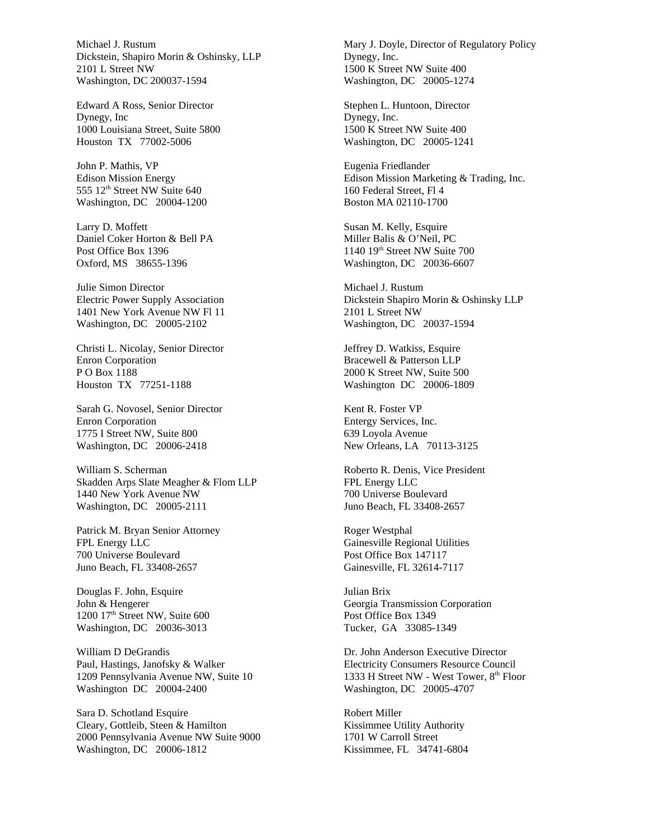Michael J. Rustum Dickstein, Shapiro Morin & Oshinsky, LLP 2101 L Street NW Washington, DC 200037-1594

Edward A Ross, Senior Director Dynegy, Inc 1000 Louisiana Street, Suite 5800 Houston TX 77002-5006

John P. Mathis, VP Edison Mission Energy 555 12<sup>th</sup> Street NW Suite 640 Washington, DC 20004-1200

Larry D. Moffett Daniel Coker Horton & Bell PA Post Office Box 1396 Oxford, MS 38655-1396

Julie Simon Director Electric Power Supply Association 1401 New York Avenue NW Fl 11 Washington, DC 20005-2102

Christi L. Nicolay, Senior Director Enron Corporation P O Box 1188 Houston TX 77251-1188

Sarah G. Novosel, Senior Director Enron Corporation 1775 I Street NW, Suite 800 Washington, DC 20006-2418

William S. Scherman Skadden Arps Slate Meagher & Flom LLP 1440 New York Avenue NW Washington, DC 20005-2111

Patrick M. Bryan Senior Attorney FPL Energy LLC 700 Universe Boulevard Juno Beach, FL 33408-2657

Douglas F. John, Esquire John & Hengerer 1200 17th Street NW, Suite 600 Washington, DC 20036-3013

William D DeGrandis Paul, Hastings, Janofsky & Walker 1209 Pennsylvania Avenue NW, Suite 10 Washington DC 20004-2400

Sara D. Schotland Esquire Cleary, Gottleib, Steen & Hamilton 2000 Pennsylvania Avenue NW Suite 9000 Washington, DC 20006-1812

Mary J. Doyle, Director of Regulatory Policy Dynegy, Inc. 1500 K Street NW Suite 400 Washington, DC 20005-1274

Stephen L. Huntoon, Director Dynegy, Inc. 1500 K Street NW Suite 400 Washington, DC 20005-1241

Eugenia Friedlander Edison Mission Marketing & Trading, Inc. 160 Federal Street, Fl 4 Boston MA 02110-1700

Susan M. Kelly, Esquire Miller Balis & O'Neil, PC 1140 19th Street NW Suite 700 Washington, DC 20036-6607

Michael J. Rustum Dickstein Shapiro Morin & Oshinsky LLP 2101 L Street NW Washington, DC 20037-1594

Jeffrey D. Watkiss, Esquire Bracewell & Patterson LLP 2000 K Street NW, Suite 500 Washington DC 20006-1809

Kent R. Foster VP Entergy Services, Inc. 639 Loyola Avenue New Orleans, LA 70113-3125

Roberto R. Denis, Vice President FPL Energy LLC 700 Universe Boulevard Juno Beach, FL 33408-2657

Roger Westphal Gainesville Regional Utilities Post Office Box 147117 Gainesville, FL 32614-7117

Julian Brix Georgia Transmission Corporation Post Office Box 1349 Tucker, GA 33085-1349

Dr. John Anderson Executive Director Electricity Consumers Resource Council 1333 H Street NW - West Tower, 8<sup>th</sup> Floor Washington, DC 20005-4707

Robert Miller Kissimmee Utility Authority 1701 W Carroll Street Kissimmee, FL 34741-6804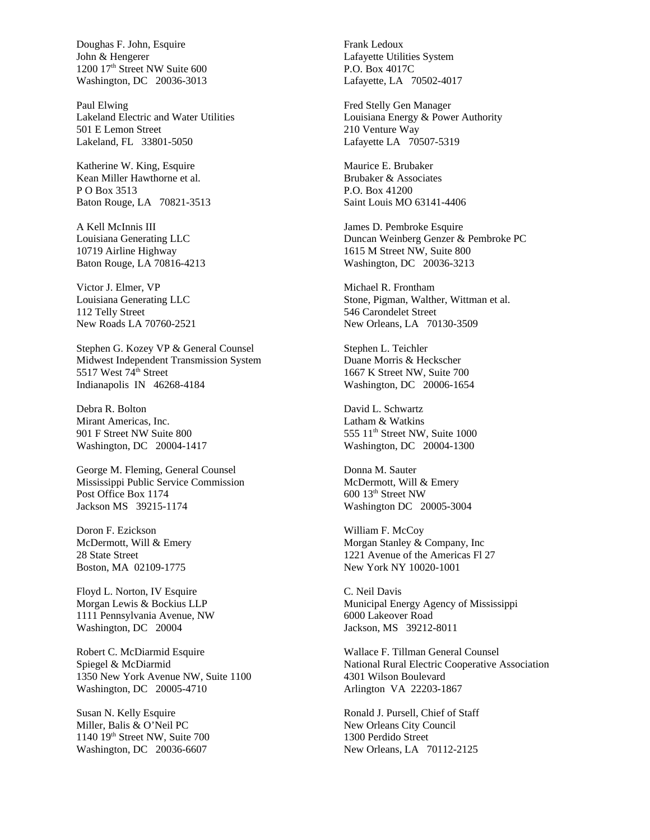Doughas F. John, Esquire John & Hengerer 1200 17<sup>th</sup> Street NW Suite 600 Washington, DC 20036-3013

Paul Elwing Lakeland Electric and Water Utilities 501 E Lemon Street Lakeland, FL 33801-5050

Katherine W. King, Esquire Kean Miller Hawthorne et al. P O Box 3513 Baton Rouge, LA 70821-3513

A Kell McInnis III Louisiana Generating LLC 10719 Airline Highway Baton Rouge, LA 70816-4213

Victor J. Elmer, VP Louisiana Generating LLC 112 Telly Street New Roads LA 70760-2521

Stephen G. Kozey VP & General Counsel Midwest Independent Transmission System 5517 West 74<sup>th</sup> Street Indianapolis IN 46268-4184

Debra R. Bolton Mirant Americas, Inc. 901 F Street NW Suite 800 Washington, DC 20004-1417

George M. Fleming, General Counsel Mississippi Public Service Commission Post Office Box 1174 Jackson MS 39215-1174

Doron F. Ezickson McDermott, Will & Emery 28 State Street Boston, MA 02109-1775

Floyd L. Norton, IV Esquire Morgan Lewis & Bockius LLP 1111 Pennsylvania Avenue, NW Washington, DC 20004

Robert C. McDiarmid Esquire Spiegel & McDiarmid 1350 New York Avenue NW, Suite 1100 Washington, DC 20005-4710

Susan N. Kelly Esquire Miller, Balis & O'Neil PC 1140 19th Street NW, Suite 700 Washington, DC 20036-6607

Frank Ledoux Lafayette Utilities System P.O. Box 4017C Lafayette, LA 70502-4017

Fred Stelly Gen Manager Louisiana Energy & Power Authority 210 Venture Way Lafayette LA 70507-5319

Maurice E. Brubaker Brubaker & Associates P.O. Box 41200 Saint Louis MO 63141-4406

James D. Pembroke Esquire Duncan Weinberg Genzer & Pembroke PC 1615 M Street NW, Suite 800 Washington, DC 20036-3213

Michael R. Frontham Stone, Pigman, Walther, Wittman et al. 546 Carondelet Street New Orleans, LA 70130-3509

Stephen L. Teichler Duane Morris & Heckscher 1667 K Street NW, Suite 700 Washington, DC 20006-1654

David L. Schwartz Latham & Watkins  $555$   $11<sup>th</sup>$  Street NW, Suite  $1000$ Washington, DC 20004-1300

Donna M. Sauter McDermott, Will & Emery 600 13th Street NW Washington DC 20005-3004

William F. McCoy Morgan Stanley & Company, Inc 1221 Avenue of the Americas Fl 27 New York NY 10020-1001

C. Neil Davis Municipal Energy Agency of Mississippi 6000 Lakeover Road Jackson, MS 39212-8011

Wallace F. Tillman General Counsel National Rural Electric Cooperative Association 4301 Wilson Boulevard Arlington VA 22203-1867

Ronald J. Pursell, Chief of Staff New Orleans City Council 1300 Perdido Street New Orleans, LA 70112-2125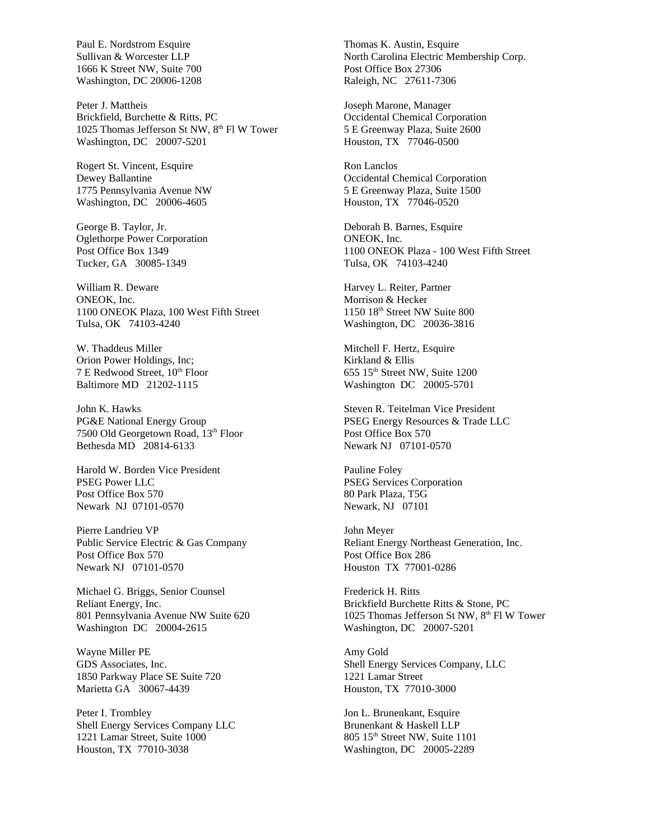Paul E. Nordstrom Esquire Sullivan & Worcester LLP 1666 K Street NW, Suite 700 Washington, DC 20006-1208

Peter J. Mattheis Brickfield, Burchette & Ritts, PC 1025 Thomas Jefferson St NW, 8<sup>th</sup> Fl W Tower Washington, DC 20007-5201

Rogert St. Vincent, Esquire Dewey Ballantine 1775 Pennsylvania Avenue NW Washington, DC 20006-4605

George B. Taylor, Jr. Oglethorpe Power Corporation Post Office Box 1349 Tucker, GA 30085-1349

William R. Deware ONEOK, Inc. 1100 ONEOK Plaza, 100 West Fifth Street Tulsa, OK 74103-4240

W. Thaddeus Miller Orion Power Holdings, Inc; 7 E Redwood Street,  $10^{th}$  Floor Baltimore MD 21202-1115

John K. Hawks PG&E National Energy Group 7500 Old Georgetown Road, 13<sup>th</sup> Floor Bethesda MD 20814-6133

Harold W. Borden Vice President PSEG Power LLC Post Office Box 570 Newark NJ 07101-0570

Pierre Landrieu VP Public Service Electric & Gas Company Post Office Box 570 Newark NJ 07101-0570

Michael G. Briggs, Senior Counsel Reliant Energy, Inc. 801 Pennsylvania Avenue NW Suite 620 Washington DC 20004-2615

Wayne Miller PE GDS Associates, Inc. 1850 Parkway Place SE Suite 720 Marietta GA 30067-4439

Peter I. Trombley Shell Energy Services Company LLC 1221 Lamar Street, Suite 1000 Houston, TX 77010-3038

Thomas K. Austin, Esquire North Carolina Electric Membership Corp. Post Office Box 27306 Raleigh, NC 27611-7306

Joseph Marone, Manager Occidental Chemical Corporation 5 E Greenway Plaza, Suite 2600 Houston, TX 77046-0500

Ron Lanclos Occidental Chemical Corporation 5 E Greenway Plaza, Suite 1500 Houston, TX 77046-0520

Deborah B. Barnes, Esquire ONEOK, Inc. 1100 ONEOK Plaza - 100 West Fifth Street Tulsa, OK 74103-4240

Harvey L. Reiter, Partner Morrison & Hecker 1150 18th Street NW Suite 800 Washington, DC 20036-3816

Mitchell F. Hertz, Esquire Kirkland & Ellis 655 15<sup>th</sup> Street NW, Suite 1200 Washington DC 20005-5701

Steven R. Teitelman Vice President PSEG Energy Resources & Trade LLC Post Office Box 570 Newark NJ 07101-0570

Pauline Foley PSEG Services Corporation 80 Park Plaza, T5G Newark, NJ 07101

John Meyer Reliant Energy Northeast Generation, Inc. Post Office Box 286 Houston TX 77001-0286

Frederick H. Ritts Brickfield Burchette Ritts & Stone, PC 1025 Thomas Jefferson St NW, 8<sup>th</sup> Fl W Tower Washington, DC 20007-5201

Amy Gold Shell Energy Services Company, LLC 1221 Lamar Street Houston, TX 77010-3000

Jon L. Brunenkant, Esquire Brunenkant & Haskell LLP 805 15th Street NW, Suite 1101 Washington, DC 20005-2289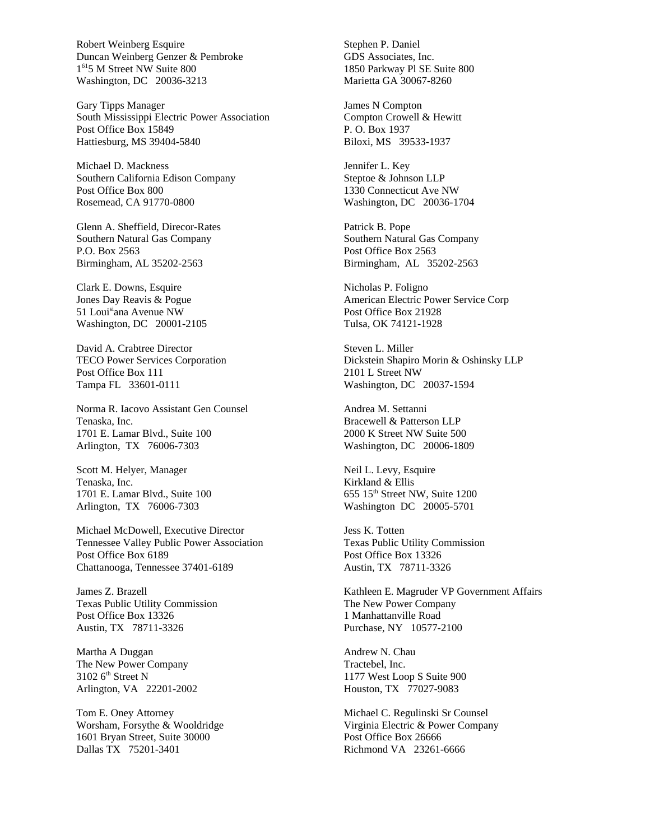Robert Weinberg Esquire Duncan Weinberg Genzer & Pembroke 1 <sup>61</sup>5 M Street NW Suite 800 Washington, DC 20036-3213

Gary Tipps Manager South Mississippi Electric Power Association Post Office Box 15849 Hattiesburg, MS 39404-5840

Michael D. Mackness Southern California Edison Company Post Office Box 800 Rosemead, CA 91770-0800

Glenn A. Sheffield, Direcor-Rates Southern Natural Gas Company P.O. Box 2563 Birmingham, AL 35202-2563

Clark E. Downs, Esquire Jones Day Reavis & Pogue 51 Louisiana Avenue NW Washington, DC 20001-2105

David A. Crabtree Director TECO Power Services Corporation Post Office Box 111 Tampa FL 33601-0111

Norma R. Iacovo Assistant Gen Counsel Tenaska, Inc. 1701 E. Lamar Blvd., Suite 100 Arlington, TX 76006-7303

Scott M. Helyer, Manager Tenaska, Inc. 1701 E. Lamar Blvd., Suite 100 Arlington, TX 76006-7303

Michael McDowell, Executive Director Tennessee Valley Public Power Association Post Office Box 6189 Chattanooga, Tennessee 37401-6189

James Z. Brazell Texas Public Utility Commission Post Office Box 13326 Austin, TX 78711-3326

Martha A Duggan The New Power Company 3102  $6<sup>th</sup>$  Street N Arlington, VA 22201-2002

Tom E. Oney Attorney Worsham, Forsythe & Wooldridge 1601 Bryan Street, Suite 30000 Dallas TX 75201-3401

Stephen P. Daniel GDS Associates, Inc. 1850 Parkway Pl SE Suite 800 Marietta GA 30067-8260

James N Compton Compton Crowell & Hewitt P. O. Box 1937 Biloxi, MS 39533-1937

Jennifer L. Key Steptoe & Johnson LLP 1330 Connecticut Ave NW Washington, DC 20036-1704

Patrick B. Pope Southern Natural Gas Company Post Office Box 2563 Birmingham, AL 35202-2563

Nicholas P. Foligno American Electric Power Service Corp Post Office Box 21928 Tulsa, OK 74121-1928

Steven L. Miller Dickstein Shapiro Morin & Oshinsky LLP 2101 L Street NW Washington, DC 20037-1594

Andrea M. Settanni Bracewell & Patterson LLP 2000 K Street NW Suite 500 Washington, DC 20006-1809

Neil L. Levy, Esquire Kirkland & Ellis 655 15th Street NW, Suite 1200 Washington DC 20005-5701

Jess K. Totten Texas Public Utility Commission Post Office Box 13326 Austin, TX 78711-3326

Kathleen E. Magruder VP Government Affairs The New Power Company 1 Manhattanville Road Purchase, NY 10577-2100

Andrew N. Chau Tractebel, Inc. 1177 West Loop S Suite 900 Houston, TX 77027-9083

Michael C. Regulinski Sr Counsel Virginia Electric & Power Company Post Office Box 26666 Richmond VA 23261-6666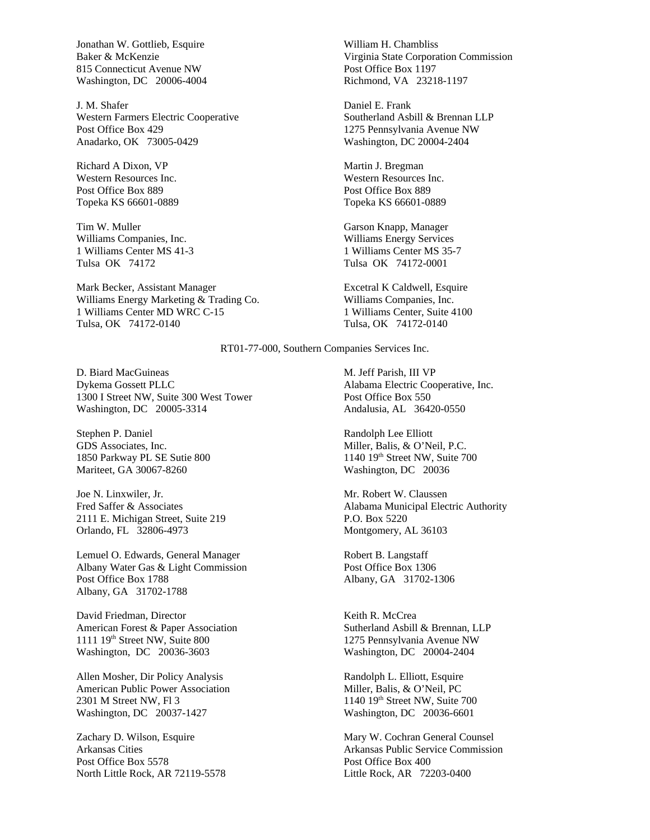Jonathan W. Gottlieb, Esquire Baker & McKenzie 815 Connecticut Avenue NW Washington, DC 20006-4004

J. M. Shafer Western Farmers Electric Cooperative Post Office Box 429 Anadarko, OK 73005-0429

Richard A Dixon, VP Western Resources Inc. Post Office Box 889 Topeka KS 66601-0889

Tim W. Muller Williams Companies, Inc. 1 Williams Center MS 41-3 Tulsa OK 74172

Mark Becker, Assistant Manager Williams Energy Marketing & Trading Co. 1 Williams Center MD WRC C-15 Tulsa, OK 74172-0140

William H. Chambliss Virginia State Corporation Commission Post Office Box 1197 Richmond, VA 23218-1197

Daniel E. Frank Southerland Asbill & Brennan LLP 1275 Pennsylvania Avenue NW Washington, DC 20004-2404

Martin J. Bregman Western Resources Inc. Post Office Box 889 Topeka KS 66601-0889

Garson Knapp, Manager Williams Energy Services 1 Williams Center MS 35-7 Tulsa OK 74172-0001

Excetral K Caldwell, Esquire Williams Companies, Inc. 1 Williams Center, Suite 4100 Tulsa, OK 74172-0140

RT01-77-000, Southern Companies Services Inc.

D. Biard MacGuineas Dykema Gossett PLLC 1300 I Street NW, Suite 300 West Tower Washington, DC 20005-3314

Stephen P. Daniel GDS Associates, Inc. 1850 Parkway PL SE Sutie 800 Mariteet, GA 30067-8260

Joe N. Linxwiler, Jr. Fred Saffer & Associates 2111 E. Michigan Street, Suite 219 Orlando, FL 32806-4973

Lemuel O. Edwards, General Manager Albany Water Gas & Light Commission Post Office Box 1788 Albany, GA 31702-1788

David Friedman, Director American Forest & Paper Association 1111 19th Street NW, Suite 800 Washington, DC 20036-3603

Allen Mosher, Dir Policy Analysis American Public Power Association 2301 M Street NW, Fl 3 Washington, DC 20037-1427

Zachary D. Wilson, Esquire Arkansas Cities Post Office Box 5578 North Little Rock, AR 72119-5578 M. Jeff Parish, III VP Alabama Electric Cooperative, Inc. Post Office Box 550 Andalusia, AL 36420-0550

Randolph Lee Elliott Miller, Balis, & O'Neil, P.C.  $1140$   $19<sup>th</sup>$  Street NW, Suite 700 Washington, DC 20036

Mr. Robert W. Claussen Alabama Municipal Electric Authority P.O. Box 5220 Montgomery, AL 36103

Robert B. Langstaff Post Office Box 1306 Albany, GA 31702-1306

Keith R. McCrea Sutherland Asbill & Brennan, LLP 1275 Pennsylvania Avenue NW Washington, DC 20004-2404

Randolph L. Elliott, Esquire Miller, Balis, & O'Neil, PC 1140 19th Street NW, Suite 700 Washington, DC 20036-6601

Mary W. Cochran General Counsel Arkansas Public Service Commission Post Office Box 400 Little Rock, AR 72203-0400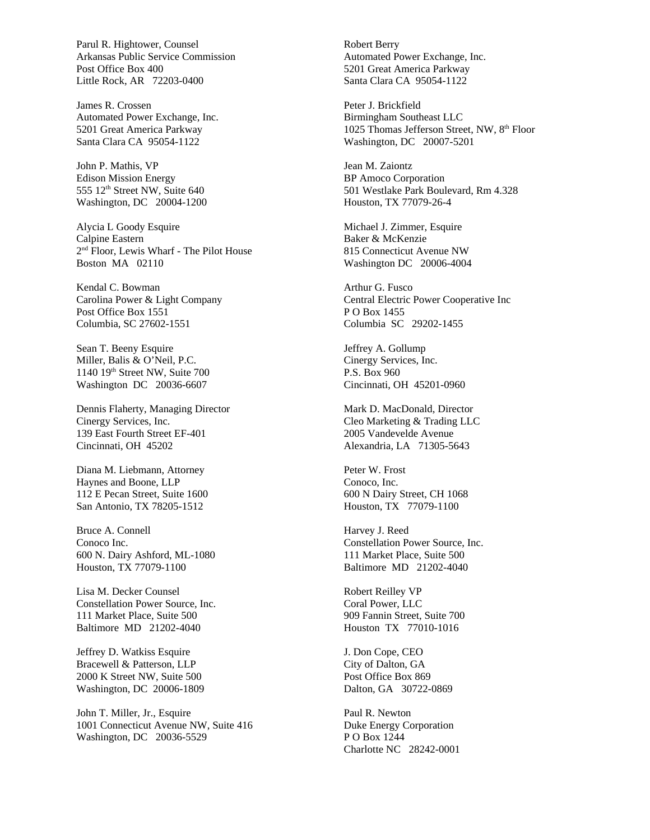Parul R. Hightower, Counsel Arkansas Public Service Commission Post Office Box 400 Little Rock, AR 72203-0400

James R. Crossen Automated Power Exchange, Inc. 5201 Great America Parkway Santa Clara CA 95054-1122

John P. Mathis, VP Edison Mission Energy 555 12<sup>th</sup> Street NW, Suite 640 Washington, DC 20004-1200

Alycia L Goody Esquire Calpine Eastern 2 nd Floor, Lewis Wharf - The Pilot House Boston MA 02110

Kendal C. Bowman Carolina Power & Light Company Post Office Box 1551 Columbia, SC 27602-1551

Sean T. Beeny Esquire Miller, Balis & O'Neil, P.C. 1140 19<sup>th</sup> Street NW, Suite 700 Washington DC 20036-6607

Dennis Flaherty, Managing Director Cinergy Services, Inc. 139 East Fourth Street EF-401 Cincinnati, OH 45202

Diana M. Liebmann, Attorney Haynes and Boone, LLP 112 E Pecan Street, Suite 1600 San Antonio, TX 78205-1512

Bruce A. Connell Conoco Inc. 600 N. Dairy Ashford, ML-1080 Houston, TX 77079-1100

Lisa M. Decker Counsel Constellation Power Source, Inc. 111 Market Place, Suite 500 Baltimore MD 21202-4040

Jeffrey D. Watkiss Esquire Bracewell & Patterson, LLP 2000 K Street NW, Suite 500 Washington, DC 20006-1809

John T. Miller, Jr., Esquire 1001 Connecticut Avenue NW, Suite 416 Washington, DC 20036-5529

Robert Berry Automated Power Exchange, Inc. 5201 Great America Parkway Santa Clara CA 95054-1122

Peter J. Brickfield Birmingham Southeast LLC 1025 Thomas Jefferson Street, NW, 8<sup>th</sup> Floor Washington, DC 20007-5201

Jean M. Zaiontz BP Amoco Corporation 501 Westlake Park Boulevard, Rm 4.328 Houston, TX 77079-26-4

Michael J. Zimmer, Esquire Baker & McKenzie 815 Connecticut Avenue NW Washington DC 20006-4004

Arthur G. Fusco Central Electric Power Cooperative Inc P O Box 1455 Columbia SC 29202-1455

Jeffrey A. Gollump Cinergy Services, Inc. P.S. Box 960 Cincinnati, OH 45201-0960

Mark D. MacDonald, Director Cleo Marketing & Trading LLC 2005 Vandevelde Avenue Alexandria, LA 71305-5643

Peter W. Frost Conoco, Inc. 600 N Dairy Street, CH 1068 Houston, TX 77079-1100

Harvey J. Reed Constellation Power Source, Inc. 111 Market Place, Suite 500 Baltimore MD 21202-4040

Robert Reilley VP Coral Power, LLC 909 Fannin Street, Suite 700 Houston TX 77010-1016

J. Don Cope, CEO City of Dalton, GA Post Office Box 869 Dalton, GA 30722-0869

Paul R. Newton Duke Energy Corporation P O Box 1244 Charlotte NC 28242-0001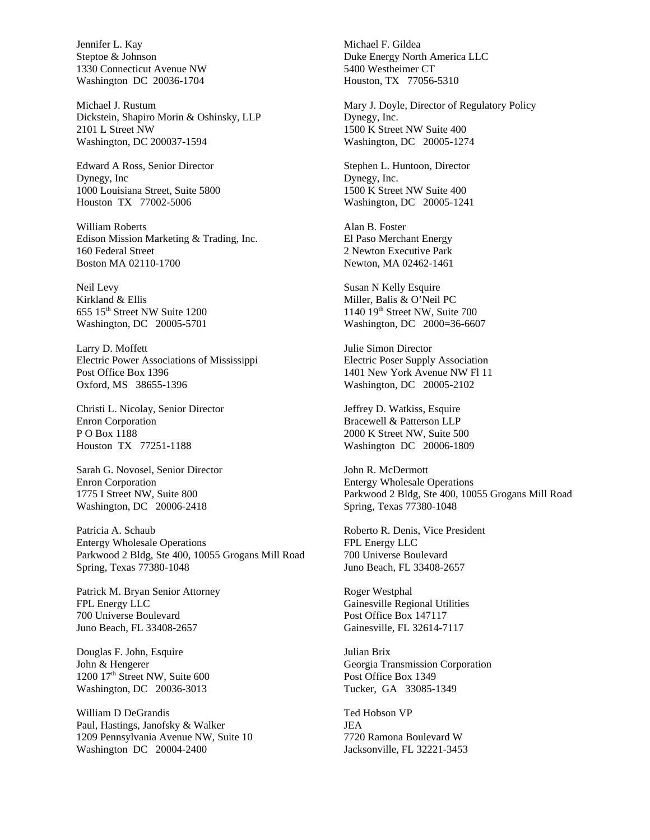Jennifer L. Kay Steptoe & Johnson 1330 Connecticut Avenue NW Washington DC 20036-1704

Michael J. Rustum Dickstein, Shapiro Morin & Oshinsky, LLP 2101 L Street NW Washington, DC 200037-1594

Edward A Ross, Senior Director Dynegy, Inc 1000 Louisiana Street, Suite 5800 Houston TX 77002-5006

William Roberts Edison Mission Marketing & Trading, Inc. 160 Federal Street Boston MA 02110-1700

Neil Levy Kirkland & Ellis  $655$  15<sup>th</sup> Street NW Suite 1200 Washington, DC 20005-5701

Larry D. Moffett Electric Power Associations of Mississippi Post Office Box 1396 Oxford, MS 38655-1396

Christi L. Nicolay, Senior Director Enron Corporation P O Box 1188 Houston TX 77251-1188

Sarah G. Novosel, Senior Director Enron Corporation 1775 I Street NW, Suite 800 Washington, DC 20006-2418

Patricia A. Schaub Entergy Wholesale Operations Parkwood 2 Bldg, Ste 400, 10055 Grogans Mill Road Spring, Texas 77380-1048

Patrick M. Bryan Senior Attorney FPL Energy LLC 700 Universe Boulevard Juno Beach, FL 33408-2657

Douglas F. John, Esquire John & Hengerer 1200 17<sup>th</sup> Street NW, Suite 600 Washington, DC 20036-3013

William D DeGrandis Paul, Hastings, Janofsky & Walker 1209 Pennsylvania Avenue NW, Suite 10 Washington DC 20004-2400

Michael F. Gildea Duke Energy North America LLC 5400 Westheimer CT Houston, TX 77056-5310

Mary J. Doyle, Director of Regulatory Policy Dynegy, Inc. 1500 K Street NW Suite 400 Washington, DC 20005-1274

Stephen L. Huntoon, Director Dynegy, Inc. 1500 K Street NW Suite 400 Washington, DC 20005-1241

Alan B. Foster El Paso Merchant Energy 2 Newton Executive Park Newton, MA 02462-1461

Susan N Kelly Esquire Miller, Balis & O'Neil PC 1140 19<sup>th</sup> Street NW, Suite 700 Washington, DC 2000=36-6607

Julie Simon Director Electric Poser Supply Association 1401 New York Avenue NW Fl 11 Washington, DC 20005-2102

Jeffrey D. Watkiss, Esquire Bracewell & Patterson LLP 2000 K Street NW, Suite 500 Washington DC 20006-1809

John R. McDermott Entergy Wholesale Operations Parkwood 2 Bldg, Ste 400, 10055 Grogans Mill Road Spring, Texas 77380-1048

Roberto R. Denis, Vice President FPL Energy LLC 700 Universe Boulevard Juno Beach, FL 33408-2657

Roger Westphal Gainesville Regional Utilities Post Office Box 147117 Gainesville, FL 32614-7117

Julian Brix Georgia Transmission Corporation Post Office Box 1349 Tucker, GA 33085-1349

Ted Hobson VP JEA 7720 Ramona Boulevard W Jacksonville, FL 32221-3453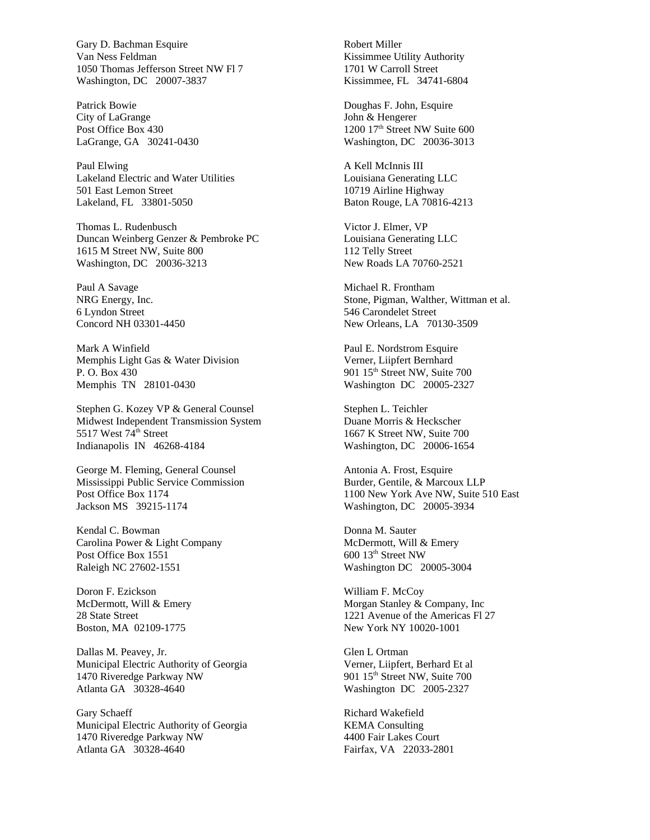Gary D. Bachman Esquire Van Ness Feldman 1050 Thomas Jefferson Street NW Fl 7 Washington, DC 20007-3837

Patrick Bowie City of LaGrange Post Office Box 430 LaGrange, GA 30241-0430

Paul Elwing Lakeland Electric and Water Utilities 501 East Lemon Street Lakeland, FL 33801-5050

Thomas L. Rudenbusch Duncan Weinberg Genzer & Pembroke PC 1615 M Street NW, Suite 800 Washington, DC 20036-3213

Paul A Savage NRG Energy, Inc. 6 Lyndon Street Concord NH 03301-4450

Mark A Winfield Memphis Light Gas & Water Division P. O. Box 430 Memphis TN 28101-0430

Stephen G. Kozey VP & General Counsel Midwest Independent Transmission System 5517 West 74<sup>th</sup> Street Indianapolis IN 46268-4184

George M. Fleming, General Counsel Mississippi Public Service Commission Post Office Box 1174 Jackson MS 39215-1174

Kendal C. Bowman Carolina Power & Light Company Post Office Box 1551 Raleigh NC 27602-1551

Doron F. Ezickson McDermott, Will & Emery 28 State Street Boston, MA 02109-1775

Dallas M. Peavey, Jr. Municipal Electric Authority of Georgia 1470 Riveredge Parkway NW Atlanta GA 30328-4640

Gary Schaeff Municipal Electric Authority of Georgia 1470 Riveredge Parkway NW Atlanta GA 30328-4640

Robert Miller Kissimmee Utility Authority 1701 W Carroll Street Kissimmee, FL 34741-6804

Doughas F. John, Esquire John & Hengerer 1200 17<sup>th</sup> Street NW Suite 600 Washington, DC 20036-3013

A Kell McInnis III Louisiana Generating LLC 10719 Airline Highway Baton Rouge, LA 70816-4213

Victor J. Elmer, VP Louisiana Generating LLC 112 Telly Street New Roads LA 70760-2521

Michael R. Frontham Stone, Pigman, Walther, Wittman et al. 546 Carondelet Street New Orleans, LA 70130-3509

Paul E. Nordstrom Esquire Verner, Liipfert Bernhard 901 15<sup>th</sup> Street NW, Suite 700 Washington DC 20005-2327

Stephen L. Teichler Duane Morris & Heckscher 1667 K Street NW, Suite 700 Washington, DC 20006-1654

Antonia A. Frost, Esquire Burder, Gentile, & Marcoux LLP 1100 New York Ave NW, Suite 510 East Washington, DC 20005-3934

Donna M. Sauter McDermott, Will & Emery 600 13th Street NW Washington DC 20005-3004

William F. McCoy Morgan Stanley & Company, Inc 1221 Avenue of the Americas Fl 27 New York NY 10020-1001

Glen L Ortman Verner, Liipfert, Berhard Et al 901 15<sup>th</sup> Street NW, Suite 700 Washington DC 2005-2327

Richard Wakefield KEMA Consulting 4400 Fair Lakes Court Fairfax, VA 22033-2801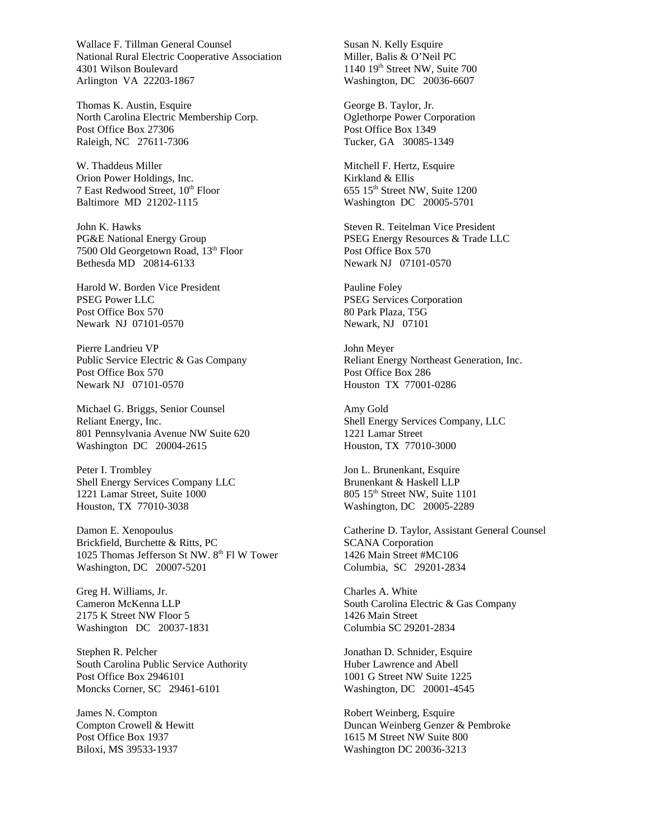Wallace F. Tillman General Counsel National Rural Electric Cooperative Association 4301 Wilson Boulevard Arlington VA 22203-1867

Thomas K. Austin, Esquire North Carolina Electric Membership Corp. Post Office Box 27306 Raleigh, NC 27611-7306

W. Thaddeus Miller Orion Power Holdings, Inc. 7 East Redwood Street, 10<sup>th</sup> Floor Baltimore MD 21202-1115

John K. Hawks PG&E National Energy Group 7500 Old Georgetown Road, 13th Floor Bethesda MD 20814-6133

Harold W. Borden Vice President PSEG Power LLC Post Office Box 570 Newark NJ 07101-0570

Pierre Landrieu VP Public Service Electric & Gas Company Post Office Box 570 Newark NJ 07101-0570

Michael G. Briggs, Senior Counsel Reliant Energy, Inc. 801 Pennsylvania Avenue NW Suite 620 Washington DC 20004-2615

Peter I. Trombley Shell Energy Services Company LLC 1221 Lamar Street, Suite 1000 Houston, TX 77010-3038

Damon E. Xenopoulus Brickfield, Burchette & Ritts, PC 1025 Thomas Jefferson St NW. 8<sup>th</sup> Fl W Tower Washington, DC 20007-5201

Greg H. Williams, Jr. Cameron McKenna LLP 2175 K Street NW Floor 5 Washington DC 20037-1831

Stephen R. Pelcher South Carolina Public Service Authority Post Office Box 2946101 Moncks Corner, SC 29461-6101

James N. Compton Compton Crowell & Hewitt Post Office Box 1937 Biloxi, MS 39533-1937

Susan N. Kelly Esquire Miller, Balis & O'Neil PC 1140 19<sup>th</sup> Street NW, Suite 700 Washington, DC 20036-6607

George B. Taylor, Jr. Oglethorpe Power Corporation Post Office Box 1349 Tucker, GA 30085-1349

Mitchell F. Hertz, Esquire Kirkland & Ellis 655 15th Street NW, Suite 1200 Washington DC 20005-5701

Steven R. Teitelman Vice President PSEG Energy Resources & Trade LLC Post Office Box 570 Newark NJ 07101-0570

Pauline Foley PSEG Services Corporation 80 Park Plaza, T5G Newark, NJ 07101

John Meyer Reliant Energy Northeast Generation, Inc. Post Office Box 286 Houston TX 77001-0286

Amy Gold Shell Energy Services Company, LLC 1221 Lamar Street Houston, TX 77010-3000

Jon L. Brunenkant, Esquire Brunenkant & Haskell LLP 805 15<sup>th</sup> Street NW, Suite 1101 Washington, DC 20005-2289

Catherine D. Taylor, Assistant General Counsel SCANA Corporation 1426 Main Street #MC106 Columbia, SC 29201-2834

Charles A. White South Carolina Electric & Gas Company 1426 Main Street Columbia SC 29201-2834

Jonathan D. Schnider, Esquire Huber Lawrence and Abell 1001 G Street NW Suite 1225 Washington, DC 20001-4545

Robert Weinberg, Esquire Duncan Weinberg Genzer & Pembroke 1615 M Street NW Suite 800 Washington DC 20036-3213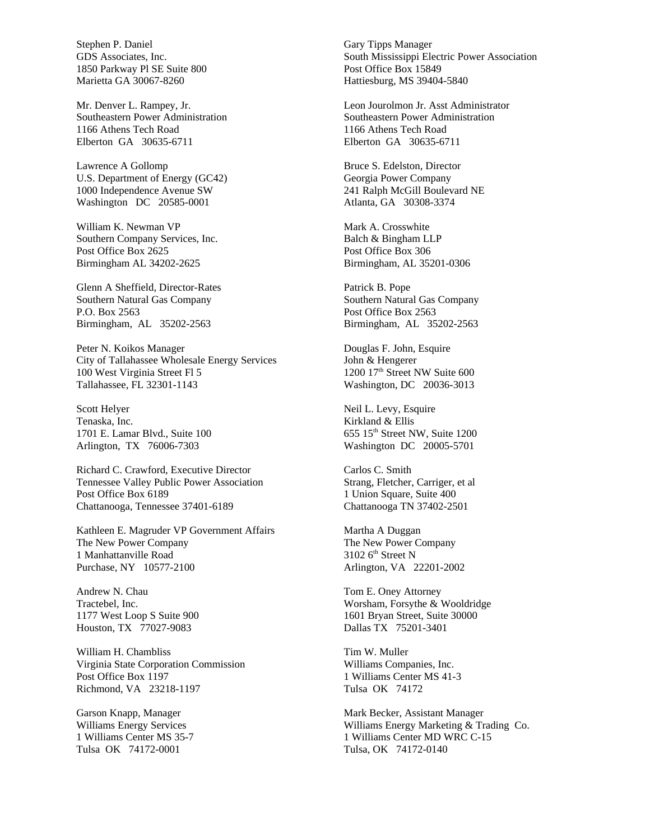Stephen P. Daniel GDS Associates, Inc. 1850 Parkway Pl SE Suite 800 Marietta GA 30067-8260

Mr. Denver L. Rampey, Jr. Southeastern Power Administration 1166 Athens Tech Road Elberton GA 30635-6711

Lawrence A Gollomp U.S. Department of Energy (GC42) 1000 Independence Avenue SW Washington DC 20585-0001

William K. Newman VP Southern Company Services, Inc. Post Office Box 2625 Birmingham AL 34202-2625

Glenn A Sheffield, Director-Rates Southern Natural Gas Company P.O. Box 2563 Birmingham, AL 35202-2563

Peter N. Koikos Manager City of Tallahassee Wholesale Energy Services 100 West Virginia Street Fl 5 Tallahassee, FL 32301-1143

Scott Helyer Tenaska, Inc. 1701 E. Lamar Blvd., Suite 100 Arlington, TX 76006-7303

Richard C. Crawford, Executive Director Tennessee Valley Public Power Association Post Office Box 6189 Chattanooga, Tennessee 37401-6189

Kathleen E. Magruder VP Government Affairs The New Power Company 1 Manhattanville Road Purchase, NY 10577-2100

Andrew N. Chau Tractebel, Inc. 1177 West Loop S Suite 900 Houston, TX 77027-9083

William H. Chambliss Virginia State Corporation Commission Post Office Box 1197 Richmond, VA 23218-1197

Garson Knapp, Manager Williams Energy Services 1 Williams Center MS 35-7 Tulsa OK 74172-0001

Gary Tipps Manager South Mississippi Electric Power Association Post Office Box 15849 Hattiesburg, MS 39404-5840

Leon Jourolmon Jr. Asst Administrator Southeastern Power Administration 1166 Athens Tech Road Elberton GA 30635-6711

Bruce S. Edelston, Director Georgia Power Company 241 Ralph McGill Boulevard NE Atlanta, GA 30308-3374

Mark A. Crosswhite Balch & Bingham LLP Post Office Box 306 Birmingham, AL 35201-0306

Patrick B. Pope Southern Natural Gas Company Post Office Box 2563 Birmingham, AL 35202-2563

Douglas F. John, Esquire John & Hengerer 1200 17<sup>th</sup> Street NW Suite 600 Washington, DC 20036-3013

Neil L. Levy, Esquire Kirkland & Ellis 655 15th Street NW, Suite 1200 Washington DC 20005-5701

Carlos C. Smith Strang, Fletcher, Carriger, et al 1 Union Square, Suite 400 Chattanooga TN 37402-2501

Martha A Duggan The New Power Company  $3102$  6<sup>th</sup> Street N Arlington, VA 22201-2002

Tom E. Oney Attorney Worsham, Forsythe & Wooldridge 1601 Bryan Street, Suite 30000 Dallas TX 75201-3401

Tim W. Muller Williams Companies, Inc. 1 Williams Center MS 41-3 Tulsa OK 74172

Mark Becker, Assistant Manager Williams Energy Marketing & Trading Co. 1 Williams Center MD WRC C-15 Tulsa, OK 74172-0140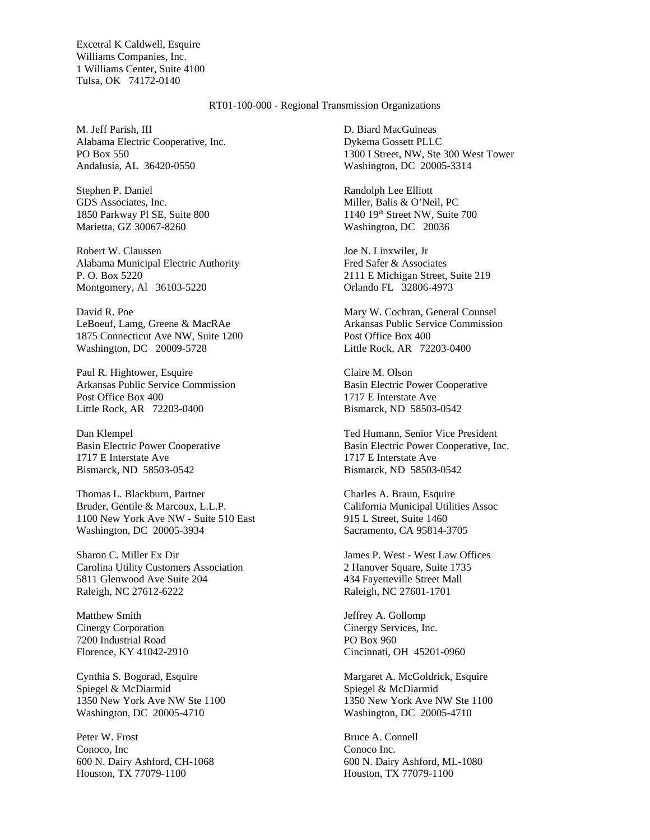Excetral K Caldwell, Esquire Williams Companies, Inc. 1 Williams Center, Suite 4100 Tulsa, OK 74172-0140

#### RT01-100-000 - Regional Transmission Organizations

M. Jeff Parish, III Alabama Electric Cooperative, Inc. PO Box 550 Andalusia, AL 36420-0550

Stephen P. Daniel GDS Associates, Inc. 1850 Parkway Pl SE, Suite 800 Marietta, GZ 30067-8260

Robert W. Claussen Alabama Municipal Electric Authority P. O. Box 5220 Montgomery, Al 36103-5220

David R. Poe LeBoeuf, Lamg, Greene & MacRAe 1875 Connecticut Ave NW, Suite 1200 Washington, DC 20009-5728

Paul R. Hightower, Esquire Arkansas Public Service Commission Post Office Box 400 Little Rock, AR 72203-0400

Dan Klempel Basin Electric Power Cooperative 1717 E Interstate Ave Bismarck, ND 58503-0542

Thomas L. Blackburn, Partner Bruder, Gentile & Marcoux, L.L.P. 1100 New York Ave NW - Suite 510 East Washington, DC 20005-3934

Sharon C. Miller Ex Dir Carolina Utility Customers Association 5811 Glenwood Ave Suite 204 Raleigh, NC 27612-6222

Matthew Smith Cinergy Corporation 7200 Industrial Road Florence, KY 41042-2910

Cynthia S. Bogorad, Esquire Spiegel & McDiarmid 1350 New York Ave NW Ste 1100 Washington, DC 20005-4710

Peter W. Frost Conoco, Inc 600 N. Dairy Ashford, CH-1068 Houston, TX 77079-1100

D. Biard MacGuineas Dykema Gossett PLLC 1300 I Street, NW, Ste 300 West Tower Washington, DC 20005-3314

Randolph Lee Elliott Miller, Balis & O'Neil, PC 1140 19th Street NW, Suite 700 Washington, DC 20036

Joe N. Linxwiler, Jr Fred Safer & Associates 2111 E Michigan Street, Suite 219 Orlando FL 32806-4973

Mary W. Cochran, General Counsel Arkansas Public Service Commission Post Office Box 400 Little Rock, AR 72203-0400

Claire M. Olson Basin Electric Power Cooperative 1717 E Interstate Ave Bismarck, ND 58503-0542

Ted Humann, Senior Vice President Basin Electric Power Cooperative, Inc. 1717 E Interstate Ave Bismarck, ND 58503-0542

Charles A. Braun, Esquire California Municipal Utilities Assoc 915 L Street, Suite 1460 Sacramento, CA 95814-3705

James P. West - West Law Offices 2 Hanover Square, Suite 1735 434 Fayetteville Street Mall Raleigh, NC 27601-1701

Jeffrey A. Gollomp Cinergy Services, Inc. PO Box 960 Cincinnati, OH 45201-0960

Margaret A. McGoldrick, Esquire Spiegel & McDiarmid 1350 New York Ave NW Ste 1100 Washington, DC 20005-4710

Bruce A. Connell Conoco Inc. 600 N. Dairy Ashford, ML-1080 Houston, TX 77079-1100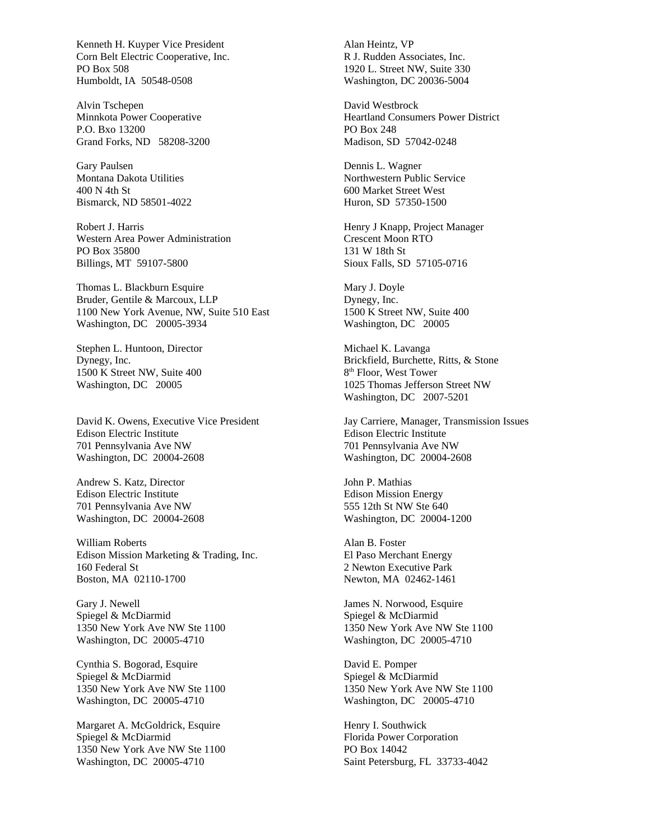Kenneth H. Kuyper Vice President Corn Belt Electric Cooperative, Inc. PO Box 508 Humboldt, IA 50548-0508

Alvin Tschepen Minnkota Power Cooperative P.O. Bxo 13200 Grand Forks, ND 58208-3200

Gary Paulsen Montana Dakota Utilities 400 N 4th St Bismarck, ND 58501-4022

Robert J. Harris Western Area Power Administration PO Box 35800 Billings, MT 59107-5800

Thomas L. Blackburn Esquire Bruder, Gentile & Marcoux, LLP 1100 New York Avenue, NW, Suite 510 East Washington, DC 20005-3934

Stephen L. Huntoon, Director Dynegy, Inc. 1500 K Street NW, Suite 400 Washington, DC 20005

David K. Owens, Executive Vice President Edison Electric Institute 701 Pennsylvania Ave NW Washington, DC 20004-2608

Andrew S. Katz, Director Edison Electric Institute 701 Pennsylvania Ave NW Washington, DC 20004-2608

William Roberts Edison Mission Marketing & Trading, Inc. 160 Federal St Boston, MA 02110-1700

Gary J. Newell Spiegel & McDiarmid 1350 New York Ave NW Ste 1100 Washington, DC 20005-4710

Cynthia S. Bogorad, Esquire Spiegel & McDiarmid 1350 New York Ave NW Ste 1100 Washington, DC 20005-4710

Margaret A. McGoldrick, Esquire Spiegel & McDiarmid 1350 New York Ave NW Ste 1100 Washington, DC 20005-4710

Alan Heintz, VP R J. Rudden Associates, Inc. 1920 L. Street NW, Suite 330 Washington, DC 20036-5004

David Westbrock Heartland Consumers Power District PO Box 248 Madison, SD 57042-0248

Dennis L. Wagner Northwestern Public Service 600 Market Street West Huron, SD 57350-1500

Henry J Knapp, Project Manager Crescent Moon RTO 131 W 18th St Sioux Falls, SD 57105-0716

Mary J. Doyle Dynegy, Inc. 1500 K Street NW, Suite 400 Washington, DC 20005

Michael K. Lavanga Brickfield, Burchette, Ritts, & Stone 8<sup>th</sup> Floor, West Tower 1025 Thomas Jefferson Street NW Washington, DC 2007-5201

Jay Carriere, Manager, Transmission Issues Edison Electric Institute 701 Pennsylvania Ave NW Washington, DC 20004-2608

John P. Mathias Edison Mission Energy 555 12th St NW Ste 640 Washington, DC 20004-1200

Alan B. Foster El Paso Merchant Energy 2 Newton Executive Park Newton, MA 02462-1461

James N. Norwood, Esquire Spiegel & McDiarmid 1350 New York Ave NW Ste 1100 Washington, DC 20005-4710

David E. Pomper Spiegel & McDiarmid 1350 New York Ave NW Ste 1100 Washington, DC 20005-4710

Henry I. Southwick Florida Power Corporation PO Box 14042 Saint Petersburg, FL 33733-4042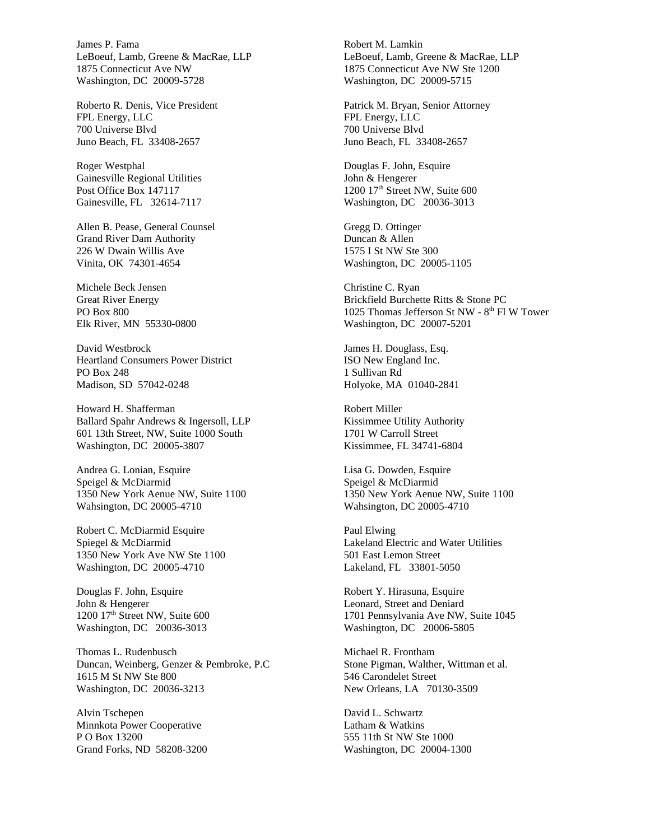James P. Fama LeBoeuf, Lamb, Greene & MacRae, LLP 1875 Connecticut Ave NW Washington, DC 20009-5728

Roberto R. Denis, Vice President FPL Energy, LLC 700 Universe Blvd Juno Beach, FL 33408-2657

Roger Westphal Gainesville Regional Utilities Post Office Box 147117 Gainesville, FL 32614-7117

Allen B. Pease, General Counsel Grand River Dam Authority 226 W Dwain Willis Ave Vinita, OK 74301-4654

Michele Beck Jensen Great River Energy PO Box 800 Elk River, MN 55330-0800

David Westbrock Heartland Consumers Power District PO Box 248 Madison, SD 57042-0248

Howard H. Shafferman Ballard Spahr Andrews & Ingersoll, LLP 601 13th Street, NW, Suite 1000 South Washington, DC 20005-3807

Andrea G. Lonian, Esquire Speigel & McDiarmid 1350 New York Aenue NW, Suite 1100 Wahsington, DC 20005-4710

Robert C. McDiarmid Esquire Spiegel & McDiarmid 1350 New York Ave NW Ste 1100 Washington, DC 20005-4710

Douglas F. John, Esquire John & Hengerer 1200 17<sup>th</sup> Street NW, Suite 600 Washington, DC 20036-3013

Thomas L. Rudenbusch Duncan, Weinberg, Genzer & Pembroke, P.C 1615 M St NW Ste 800 Washington, DC 20036-3213

Alvin Tschepen Minnkota Power Cooperative P O Box 13200 Grand Forks, ND 58208-3200

Robert M. Lamkin LeBoeuf, Lamb, Greene & MacRae, LLP 1875 Connecticut Ave NW Ste 1200 Washington, DC 20009-5715

Patrick M. Bryan, Senior Attorney FPL Energy, LLC 700 Universe Blvd Juno Beach, FL 33408-2657

Douglas F. John, Esquire John & Hengerer 1200 17<sup>th</sup> Street NW, Suite 600 Washington, DC 20036-3013

Gregg D. Ottinger Duncan & Allen 1575 I St NW Ste 300 Washington, DC 20005-1105

Christine C. Ryan Brickfield Burchette Ritts & Stone PC 1025 Thomas Jefferson St NW -  $8<sup>th</sup>$  Fl W Tower Washington, DC 20007-5201

James H. Douglass, Esq. ISO New England Inc. 1 Sullivan Rd Holyoke, MA 01040-2841

Robert Miller Kissimmee Utility Authority 1701 W Carroll Street Kissimmee, FL 34741-6804

Lisa G. Dowden, Esquire Speigel & McDiarmid 1350 New York Aenue NW, Suite 1100 Wahsington, DC 20005-4710

Paul Elwing Lakeland Electric and Water Utilities 501 East Lemon Street Lakeland, FL 33801-5050

Robert Y. Hirasuna, Esquire Leonard, Street and Deniard 1701 Pennsylvania Ave NW, Suite 1045 Washington, DC 20006-5805

Michael R. Frontham Stone Pigman, Walther, Wittman et al. 546 Carondelet Street New Orleans, LA 70130-3509

David L. Schwartz Latham & Watkins 555 11th St NW Ste 1000 Washington, DC 20004-1300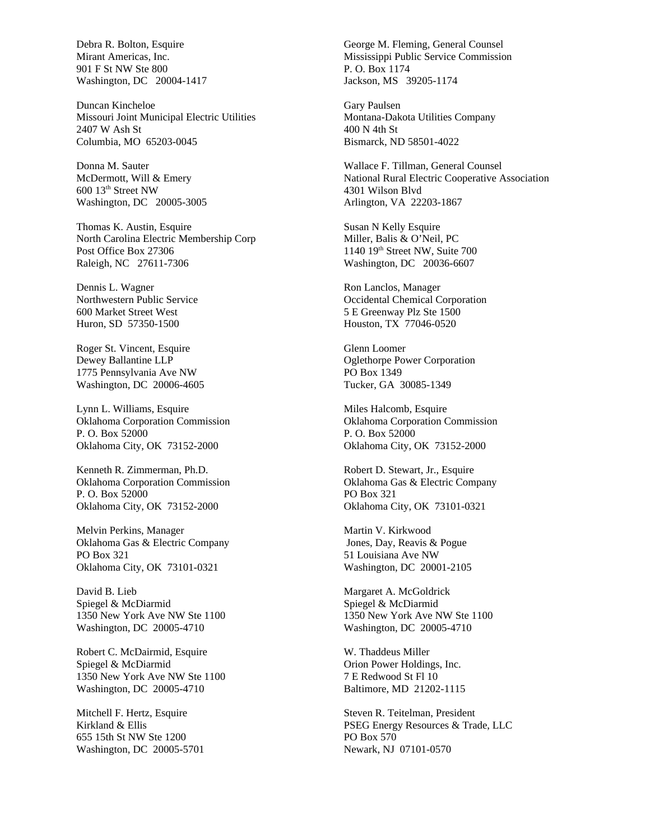Debra R. Bolton, Esquire Mirant Americas, Inc. 901 F St NW Ste 800 Washington, DC 20004-1417

Duncan Kincheloe Missouri Joint Municipal Electric Utilities 2407 W Ash St Columbia, MO 65203-0045

Donna M. Sauter McDermott, Will & Emery 600 13th Street NW Washington, DC 20005-3005

Thomas K. Austin, Esquire North Carolina Electric Membership Corp Post Office Box 27306 Raleigh, NC 27611-7306

Dennis L. Wagner Northwestern Public Service 600 Market Street West Huron, SD 57350-1500

Roger St. Vincent, Esquire Dewey Ballantine LLP 1775 Pennsylvania Ave NW Washington, DC 20006-4605

Lynn L. Williams, Esquire Oklahoma Corporation Commission P. O. Box 52000 Oklahoma City, OK 73152-2000

Kenneth R. Zimmerman, Ph.D. Oklahoma Corporation Commission P. O. Box 52000 Oklahoma City, OK 73152-2000

Melvin Perkins, Manager Oklahoma Gas & Electric Company PO Box 321 Oklahoma City, OK 73101-0321

David B. Lieb Spiegel & McDiarmid 1350 New York Ave NW Ste 1100 Washington, DC 20005-4710

Robert C. McDairmid, Esquire Spiegel & McDiarmid 1350 New York Ave NW Ste 1100 Washington, DC 20005-4710

Mitchell F. Hertz, Esquire Kirkland & Ellis 655 15th St NW Ste 1200 Washington, DC 20005-5701

George M. Fleming, General Counsel Mississippi Public Service Commission P. O. Box 1174 Jackson, MS 39205-1174

Gary Paulsen Montana-Dakota Utilities Company 400 N 4th St Bismarck, ND 58501-4022

Wallace F. Tillman, General Counsel National Rural Electric Cooperative Association 4301 Wilson Blvd Arlington, VA 22203-1867

Susan N Kelly Esquire Miller, Balis & O'Neil, PC 1140 19th Street NW, Suite 700 Washington, DC 20036-6607

Ron Lanclos, Manager Occidental Chemical Corporation 5 E Greenway Plz Ste 1500 Houston, TX 77046-0520

Glenn Loomer Oglethorpe Power Corporation PO Box 1349 Tucker, GA 30085-1349

Miles Halcomb, Esquire Oklahoma Corporation Commission P. O. Box 52000 Oklahoma City, OK 73152-2000

Robert D. Stewart, Jr., Esquire Oklahoma Gas & Electric Company PO Box 321 Oklahoma City, OK 73101-0321

Martin V. Kirkwood Jones, Day, Reavis & Pogue 51 Louisiana Ave NW Washington, DC 20001-2105

Margaret A. McGoldrick Spiegel & McDiarmid 1350 New York Ave NW Ste 1100 Washington, DC 20005-4710

W. Thaddeus Miller Orion Power Holdings, Inc. 7 E Redwood St Fl 10 Baltimore, MD 21202-1115

Steven R. Teitelman, President PSEG Energy Resources & Trade, LLC PO Box 570 Newark, NJ 07101-0570